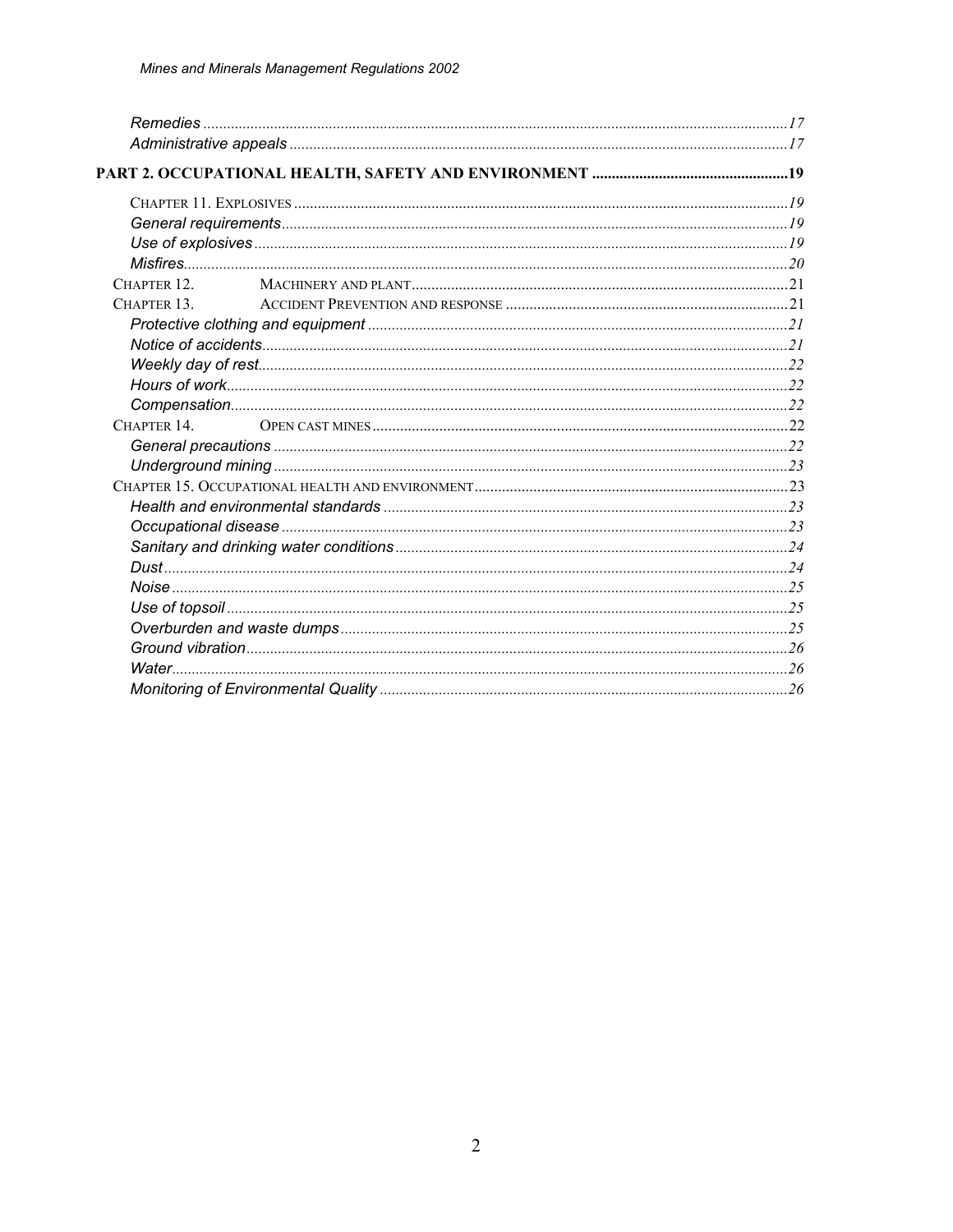| CHAPTER 12. |  |  |
|-------------|--|--|
| CHAPTER 13. |  |  |
|             |  |  |
|             |  |  |
|             |  |  |
|             |  |  |
|             |  |  |
| CHAPTER 14. |  |  |
|             |  |  |
|             |  |  |
|             |  |  |
|             |  |  |
|             |  |  |
|             |  |  |
|             |  |  |
|             |  |  |
|             |  |  |
|             |  |  |
|             |  |  |
|             |  |  |
|             |  |  |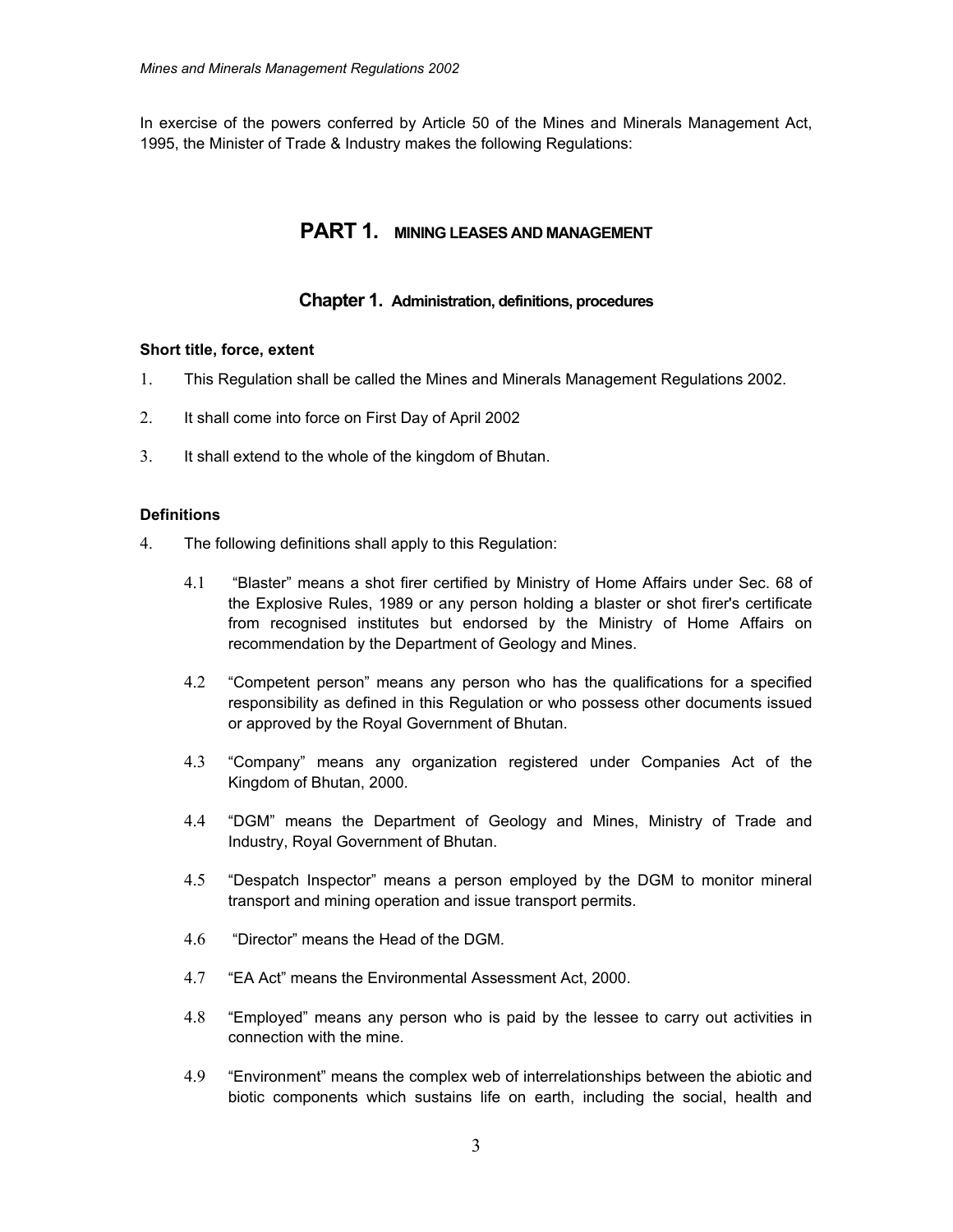In exercise of the powers conferred by Article 50 of the Mines and Minerals Management Act, 1995, the Minister of Trade & Industry makes the following Regulations:

# **PART 1. MINING LEASES AND MANAGEMENT**

# **Chapter 1. Administration, definitions, procedures**

### **Short title, force, extent**

- 1. This Regulation shall be called the Mines and Minerals Management Regulations 2002.
- 2. It shall come into force on First Day of April 2002
- 3. It shall extend to the whole of the kingdom of Bhutan.

### **Definitions**

- 4. The following definitions shall apply to this Regulation:
	- 4.1 "Blaster" means a shot firer certified by Ministry of Home Affairs under Sec. 68 of the Explosive Rules, 1989 or any person holding a blaster or shot firer's certificate from recognised institutes but endorsed by the Ministry of Home Affairs on recommendation by the Department of Geology and Mines.
	- 4.2 "Competent person" means any person who has the qualifications for a specified responsibility as defined in this Regulation or who possess other documents issued or approved by the Royal Government of Bhutan.
	- 4.3 "Company" means any organization registered under Companies Act of the Kingdom of Bhutan, 2000.
	- 4.4 "DGM" means the Department of Geology and Mines, Ministry of Trade and Industry, Royal Government of Bhutan.
	- 4.5 "Despatch Inspector" means a person employed by the DGM to monitor mineral transport and mining operation and issue transport permits.
	- 4.6 "Director" means the Head of the DGM.
	- 4.7 "EA Act" means the Environmental Assessment Act, 2000.
	- 4.8 "Employed" means any person who is paid by the lessee to carry out activities in connection with the mine.
	- 4.9 "Environment" means the complex web of interrelationships between the abiotic and biotic components which sustains life on earth, including the social, health and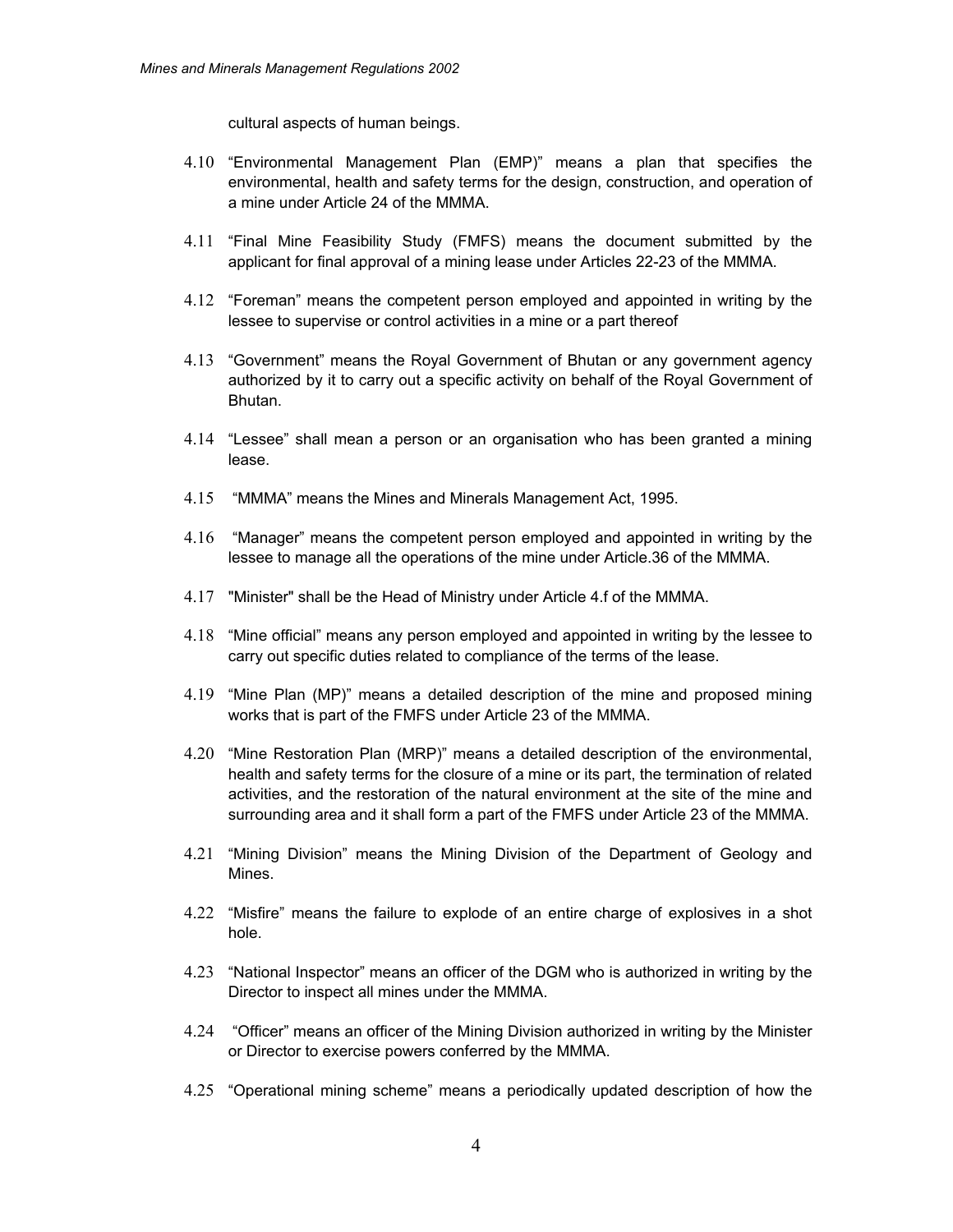cultural aspects of human beings.

- 4.10 "Environmental Management Plan (EMP)" means a plan that specifies the environmental, health and safety terms for the design, construction, and operation of a mine under Article 24 of the MMMA.
- 4.11 "Final Mine Feasibility Study (FMFS) means the document submitted by the applicant for final approval of a mining lease under Articles 22-23 of the MMMA.
- 4.12 "Foreman" means the competent person employed and appointed in writing by the lessee to supervise or control activities in a mine or a part thereof
- 4.13 "Government" means the Royal Government of Bhutan or any government agency authorized by it to carry out a specific activity on behalf of the Royal Government of Bhutan.
- 4.14 "Lessee" shall mean a person or an organisation who has been granted a mining lease.
- 4.15 "MMMA" means the Mines and Minerals Management Act, 1995.
- 4.16 "Manager" means the competent person employed and appointed in writing by the lessee to manage all the operations of the mine under Article.36 of the MMMA.
- 4.17 "Minister" shall be the Head of Ministry under Article 4.f of the MMMA.
- 4.18 "Mine official" means any person employed and appointed in writing by the lessee to carry out specific duties related to compliance of the terms of the lease.
- 4.19 "Mine Plan (MP)" means a detailed description of the mine and proposed mining works that is part of the FMFS under Article 23 of the MMMA.
- 4.20 "Mine Restoration Plan (MRP)" means a detailed description of the environmental, health and safety terms for the closure of a mine or its part, the termination of related activities, and the restoration of the natural environment at the site of the mine and surrounding area and it shall form a part of the FMFS under Article 23 of the MMMA.
- 4.21 "Mining Division" means the Mining Division of the Department of Geology and Mines.
- 4.22 "Misfire" means the failure to explode of an entire charge of explosives in a shot hole.
- 4.23 "National Inspector" means an officer of the DGM who is authorized in writing by the Director to inspect all mines under the MMMA.
- 4.24 "Officer" means an officer of the Mining Division authorized in writing by the Minister or Director to exercise powers conferred by the MMMA.
- 4.25 "Operational mining scheme" means a periodically updated description of how the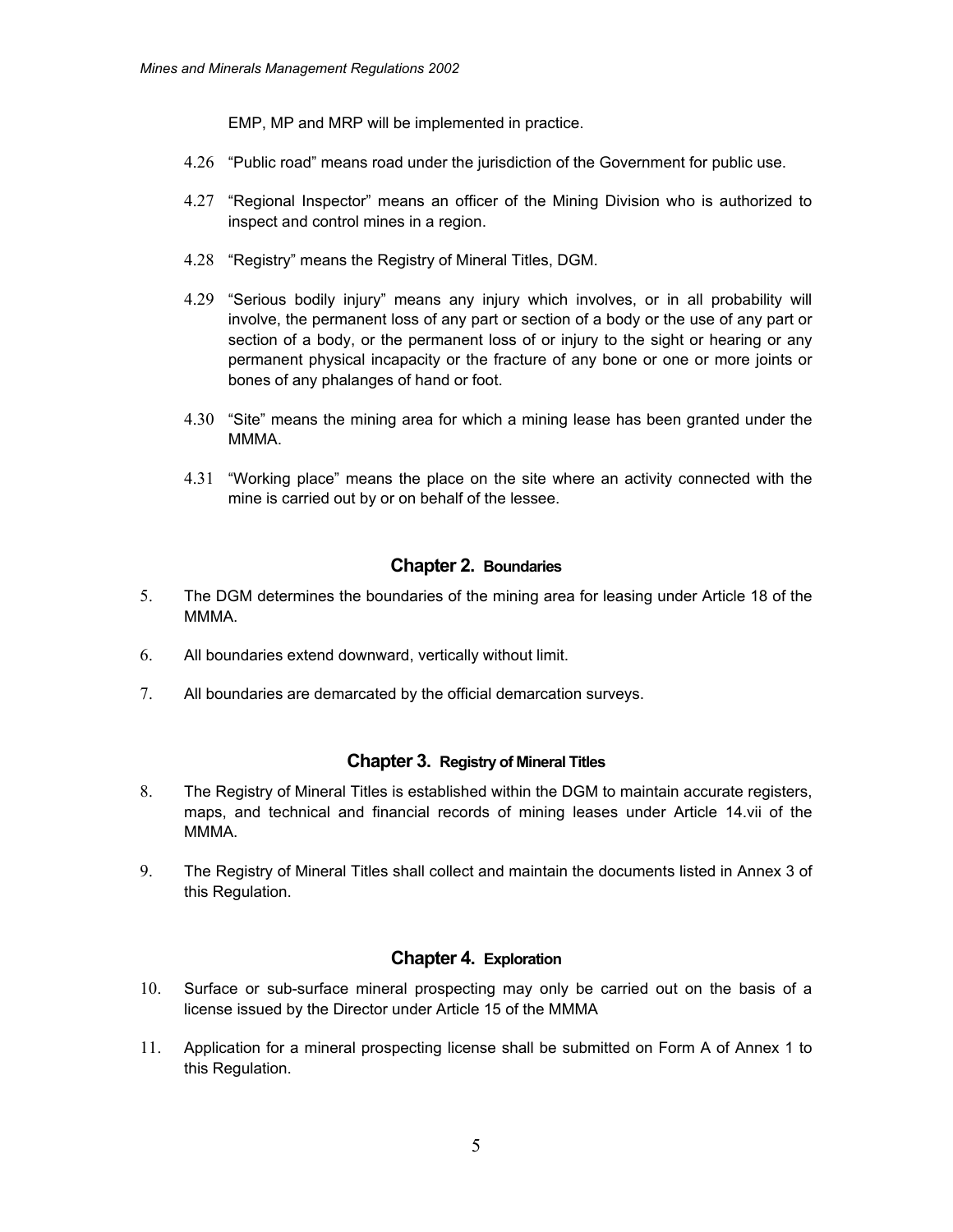EMP, MP and MRP will be implemented in practice.

- 4.26 "Public road" means road under the jurisdiction of the Government for public use.
- 4.27 "Regional Inspector" means an officer of the Mining Division who is authorized to inspect and control mines in a region.
- 4.28 "Registry" means the Registry of Mineral Titles, DGM.
- 4.29 "Serious bodily injury" means any injury which involves, or in all probability will involve, the permanent loss of any part or section of a body or the use of any part or section of a body, or the permanent loss of or injury to the sight or hearing or any permanent physical incapacity or the fracture of any bone or one or more joints or bones of any phalanges of hand or foot.
- 4.30 "Site" means the mining area for which a mining lease has been granted under the MMMA.
- 4.31 "Working place" means the place on the site where an activity connected with the mine is carried out by or on behalf of the lessee.

# **Chapter 2. Boundaries**

- 5. The DGM determines the boundaries of the mining area for leasing under Article 18 of the MMMA.
- 6. All boundaries extend downward, vertically without limit.
- 7. All boundaries are demarcated by the official demarcation surveys.

# **Chapter 3. Registry of Mineral Titles**

- 8. The Registry of Mineral Titles is established within the DGM to maintain accurate registers, maps, and technical and financial records of mining leases under Article 14.vii of the MMMA.
- 9. The Registry of Mineral Titles shall collect and maintain the documents listed in Annex 3 of this Regulation.

# **Chapter 4. Exploration**

- 10. Surface or sub-surface mineral prospecting may only be carried out on the basis of a license issued by the Director under Article 15 of the MMMA
- 11. Application for a mineral prospecting license shall be submitted on Form A of Annex 1 to this Regulation.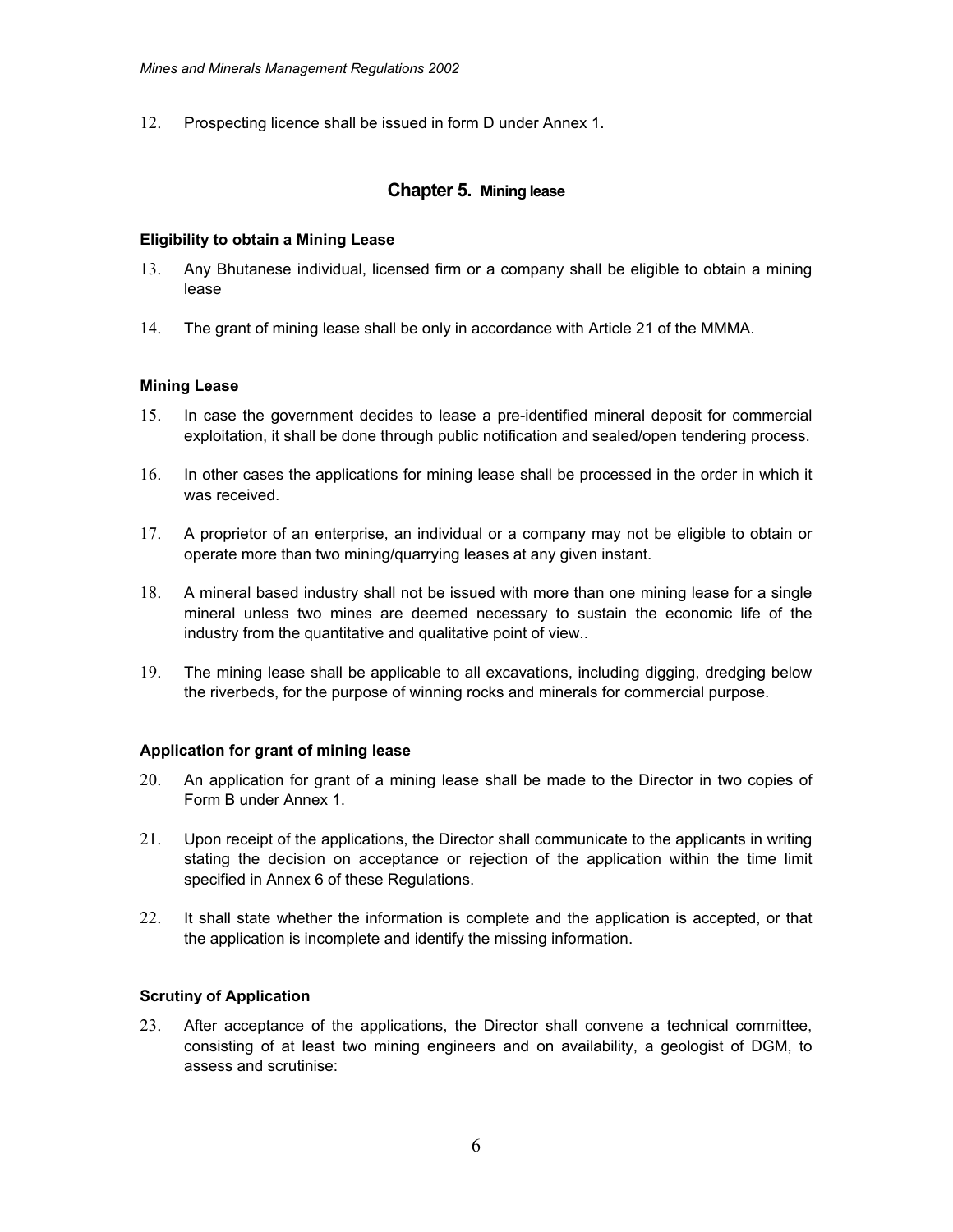12. Prospecting licence shall be issued in form D under Annex 1.

# **Chapter 5. Mining lease**

### **Eligibility to obtain a Mining Lease**

- 13. Any Bhutanese individual, licensed firm or a company shall be eligible to obtain a mining lease
- 14. The grant of mining lease shall be only in accordance with Article 21 of the MMMA.

### **Mining Lease**

- 15. In case the government decides to lease a pre-identified mineral deposit for commercial exploitation, it shall be done through public notification and sealed/open tendering process.
- 16. In other cases the applications for mining lease shall be processed in the order in which it was received.
- 17. A proprietor of an enterprise, an individual or a company may not be eligible to obtain or operate more than two mining/quarrying leases at any given instant.
- 18. A mineral based industry shall not be issued with more than one mining lease for a single mineral unless two mines are deemed necessary to sustain the economic life of the industry from the quantitative and qualitative point of view..
- 19. The mining lease shall be applicable to all excavations, including digging, dredging below the riverbeds, for the purpose of winning rocks and minerals for commercial purpose.

### **Application for grant of mining lease**

- 20. An application for grant of a mining lease shall be made to the Director in two copies of Form B under Annex 1.
- 21. Upon receipt of the applications, the Director shall communicate to the applicants in writing stating the decision on acceptance or rejection of the application within the time limit specified in Annex 6 of these Regulations.
- 22. It shall state whether the information is complete and the application is accepted, or that the application is incomplete and identify the missing information.

### **Scrutiny of Application**

23. After acceptance of the applications, the Director shall convene a technical committee, consisting of at least two mining engineers and on availability, a geologist of DGM, to assess and scrutinise: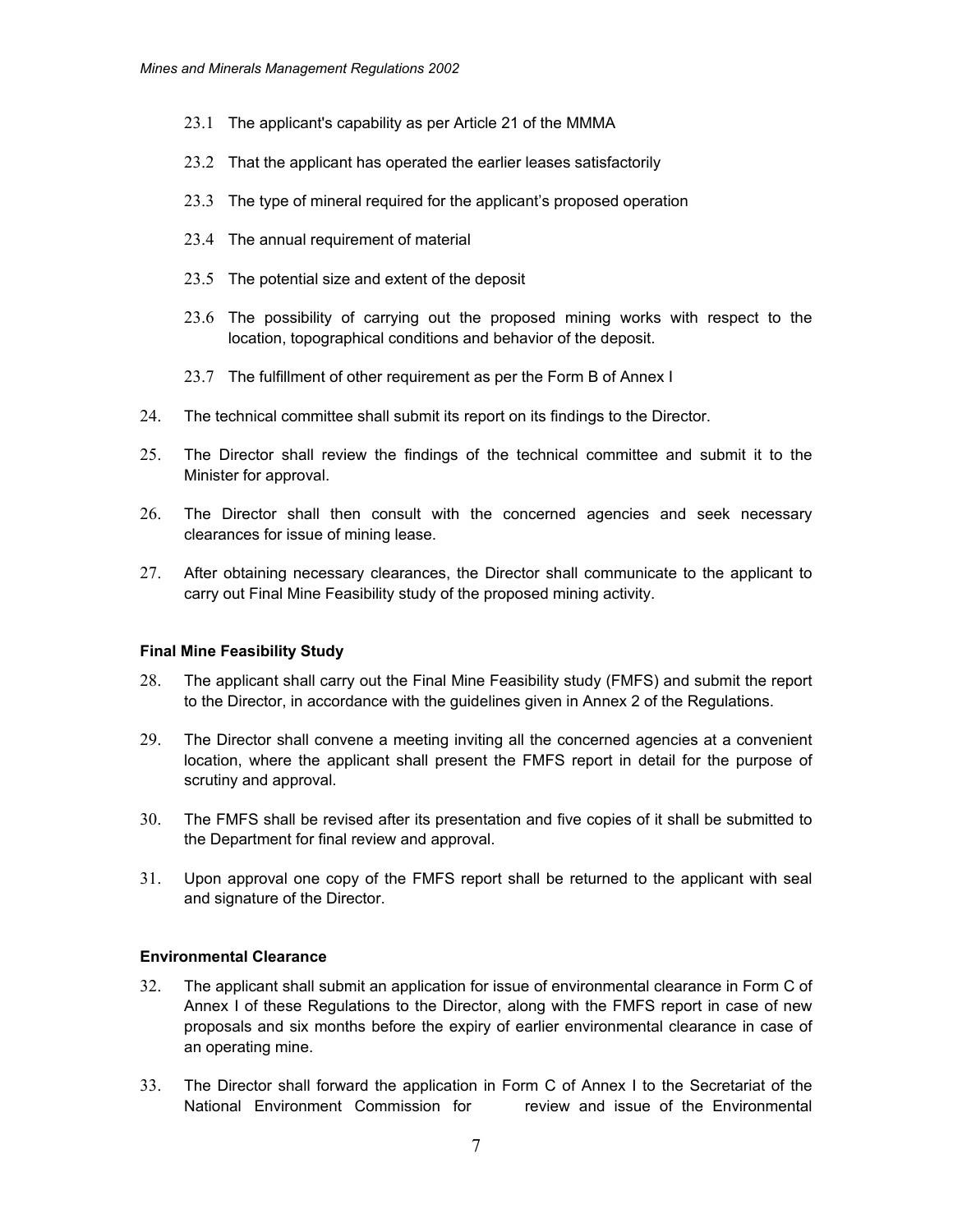- 23.1 The applicant's capability as per Article 21 of the MMMA
- 23.2 That the applicant has operated the earlier leases satisfactorily
- 23.3 The type of mineral required for the applicant's proposed operation
- 23.4 The annual requirement of material
- 23.5 The potential size and extent of the deposit
- 23.6 The possibility of carrying out the proposed mining works with respect to the location, topographical conditions and behavior of the deposit.
- 23.7 The fulfillment of other requirement as per the Form B of Annex I
- 24. The technical committee shall submit its report on its findings to the Director.
- 25. The Director shall review the findings of the technical committee and submit it to the Minister for approval.
- 26. The Director shall then consult with the concerned agencies and seek necessary clearances for issue of mining lease.
- 27. After obtaining necessary clearances, the Director shall communicate to the applicant to carry out Final Mine Feasibility study of the proposed mining activity.

#### **Final Mine Feasibility Study**

- 28. The applicant shall carry out the Final Mine Feasibility study (FMFS) and submit the report to the Director, in accordance with the guidelines given in Annex 2 of the Regulations.
- 29. The Director shall convene a meeting inviting all the concerned agencies at a convenient location, where the applicant shall present the FMFS report in detail for the purpose of scrutiny and approval.
- 30. The FMFS shall be revised after its presentation and five copies of it shall be submitted to the Department for final review and approval.
- 31. Upon approval one copy of the FMFS report shall be returned to the applicant with seal and signature of the Director.

#### **Environmental Clearance**

- 32. The applicant shall submit an application for issue of environmental clearance in Form C of Annex I of these Regulations to the Director, along with the FMFS report in case of new proposals and six months before the expiry of earlier environmental clearance in case of an operating mine.
- 33. The Director shall forward the application in Form C of Annex I to the Secretariat of the National Environment Commission for review and issue of the Environmental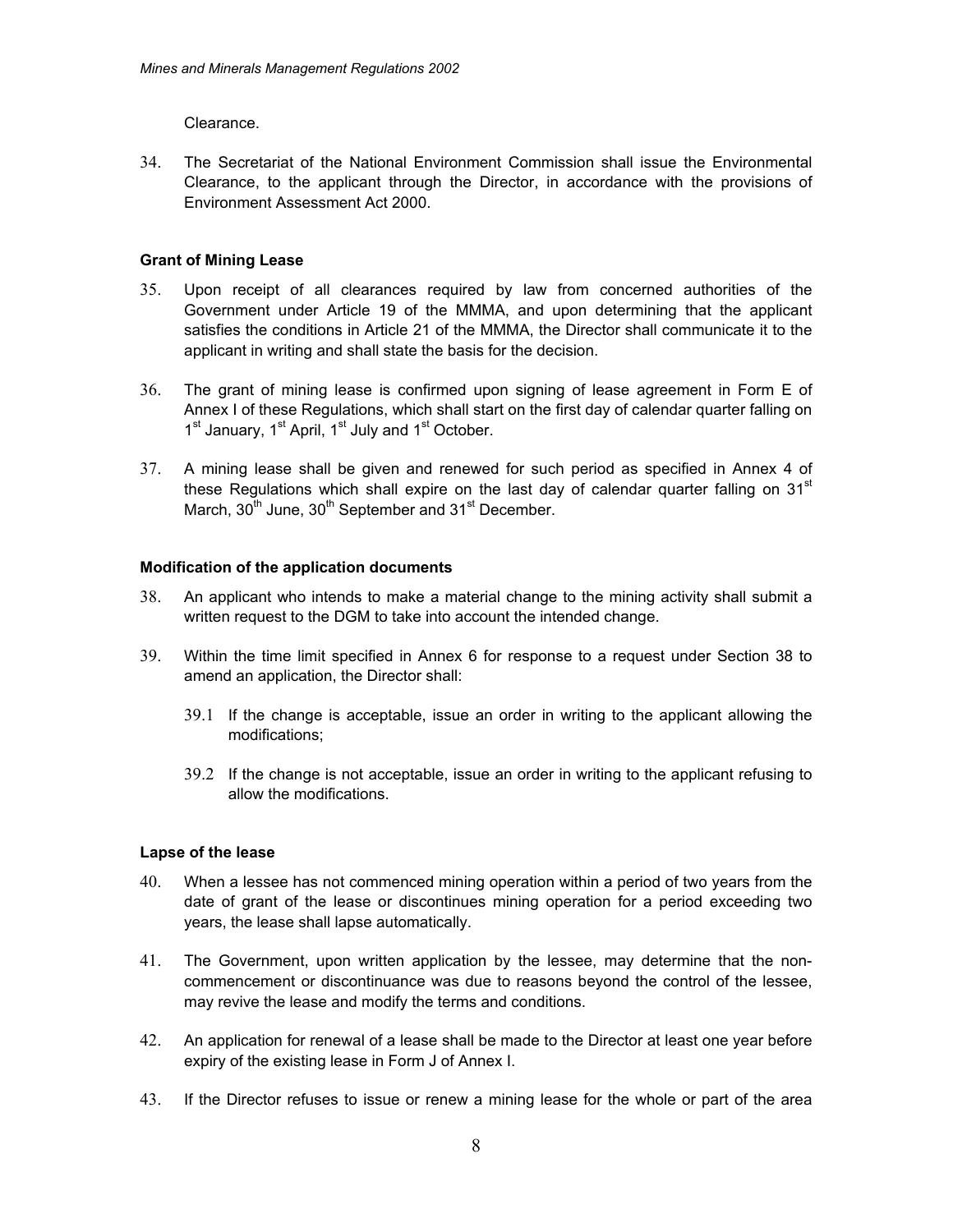Clearance.

34. The Secretariat of the National Environment Commission shall issue the Environmental Clearance, to the applicant through the Director, in accordance with the provisions of Environment Assessment Act 2000.

# **Grant of Mining Lease**

- 35. Upon receipt of all clearances required by law from concerned authorities of the Government under Article 19 of the MMMA, and upon determining that the applicant satisfies the conditions in Article 21 of the MMMA, the Director shall communicate it to the applicant in writing and shall state the basis for the decision.
- 36. The grant of mining lease is confirmed upon signing of lease agreement in Form E of Annex I of these Regulations, which shall start on the first day of calendar quarter falling on 1<sup>st</sup> January, 1<sup>st</sup> April, 1<sup>st</sup> July and 1<sup>st</sup> October.
- 37. A mining lease shall be given and renewed for such period as specified in Annex 4 of these Regulations which shall expire on the last day of calendar quarter falling on  $31<sup>st</sup>$ March,  $30<sup>th</sup>$  June,  $30<sup>th</sup>$  September and  $31<sup>st</sup>$  December.

# **Modification of the application documents**

- 38. An applicant who intends to make a material change to the mining activity shall submit a written request to the DGM to take into account the intended change.
- 39. Within the time limit specified in Annex 6 for response to a request under Section 38 to amend an application, the Director shall:
	- 39.1 If the change is acceptable, issue an order in writing to the applicant allowing the modifications;
	- 39.2 If the change is not acceptable, issue an order in writing to the applicant refusing to allow the modifications.

# **Lapse of the lease**

- 40. When a lessee has not commenced mining operation within a period of two years from the date of grant of the lease or discontinues mining operation for a period exceeding two years, the lease shall lapse automatically.
- 41. The Government, upon written application by the lessee, may determine that the noncommencement or discontinuance was due to reasons beyond the control of the lessee, may revive the lease and modify the terms and conditions.
- 42. An application for renewal of a lease shall be made to the Director at least one year before expiry of the existing lease in Form J of Annex I.
- 43. If the Director refuses to issue or renew a mining lease for the whole or part of the area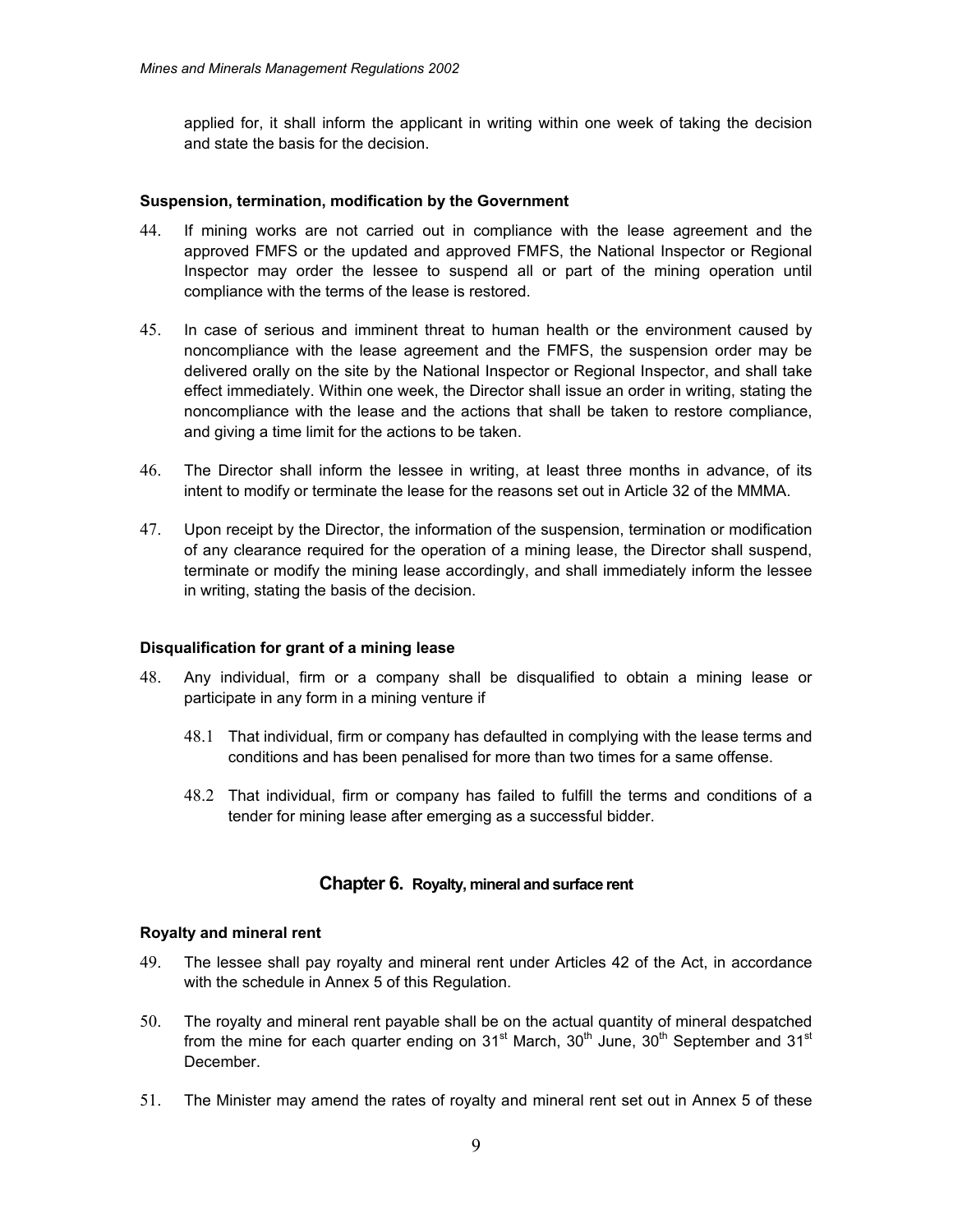applied for, it shall inform the applicant in writing within one week of taking the decision and state the basis for the decision.

### **Suspension, termination, modification by the Government**

- 44. If mining works are not carried out in compliance with the lease agreement and the approved FMFS or the updated and approved FMFS, the National Inspector or Regional Inspector may order the lessee to suspend all or part of the mining operation until compliance with the terms of the lease is restored.
- 45. In case of serious and imminent threat to human health or the environment caused by noncompliance with the lease agreement and the FMFS, the suspension order may be delivered orally on the site by the National Inspector or Regional Inspector, and shall take effect immediately. Within one week, the Director shall issue an order in writing, stating the noncompliance with the lease and the actions that shall be taken to restore compliance, and giving a time limit for the actions to be taken.
- 46. The Director shall inform the lessee in writing, at least three months in advance, of its intent to modify or terminate the lease for the reasons set out in Article 32 of the MMMA.
- 47. Upon receipt by the Director, the information of the suspension, termination or modification of any clearance required for the operation of a mining lease, the Director shall suspend, terminate or modify the mining lease accordingly, and shall immediately inform the lessee in writing, stating the basis of the decision.

#### **Disqualification for grant of a mining lease**

- 48. Any individual, firm or a company shall be disqualified to obtain a mining lease or participate in any form in a mining venture if
	- 48.1 That individual, firm or company has defaulted in complying with the lease terms and conditions and has been penalised for more than two times for a same offense.
	- 48.2 That individual, firm or company has failed to fulfill the terms and conditions of a tender for mining lease after emerging as a successful bidder.

### **Chapter 6. Royalty, mineral and surface rent**

#### **Royalty and mineral rent**

- 49. The lessee shall pay royalty and mineral rent under Articles 42 of the Act, in accordance with the schedule in Annex 5 of this Regulation.
- 50. The royalty and mineral rent payable shall be on the actual quantity of mineral despatched from the mine for each quarter ending on  $31<sup>st</sup>$  March,  $30<sup>th</sup>$  June,  $30<sup>th</sup>$  September and  $31<sup>st</sup>$ December.
- 51. The Minister may amend the rates of royalty and mineral rent set out in Annex 5 of these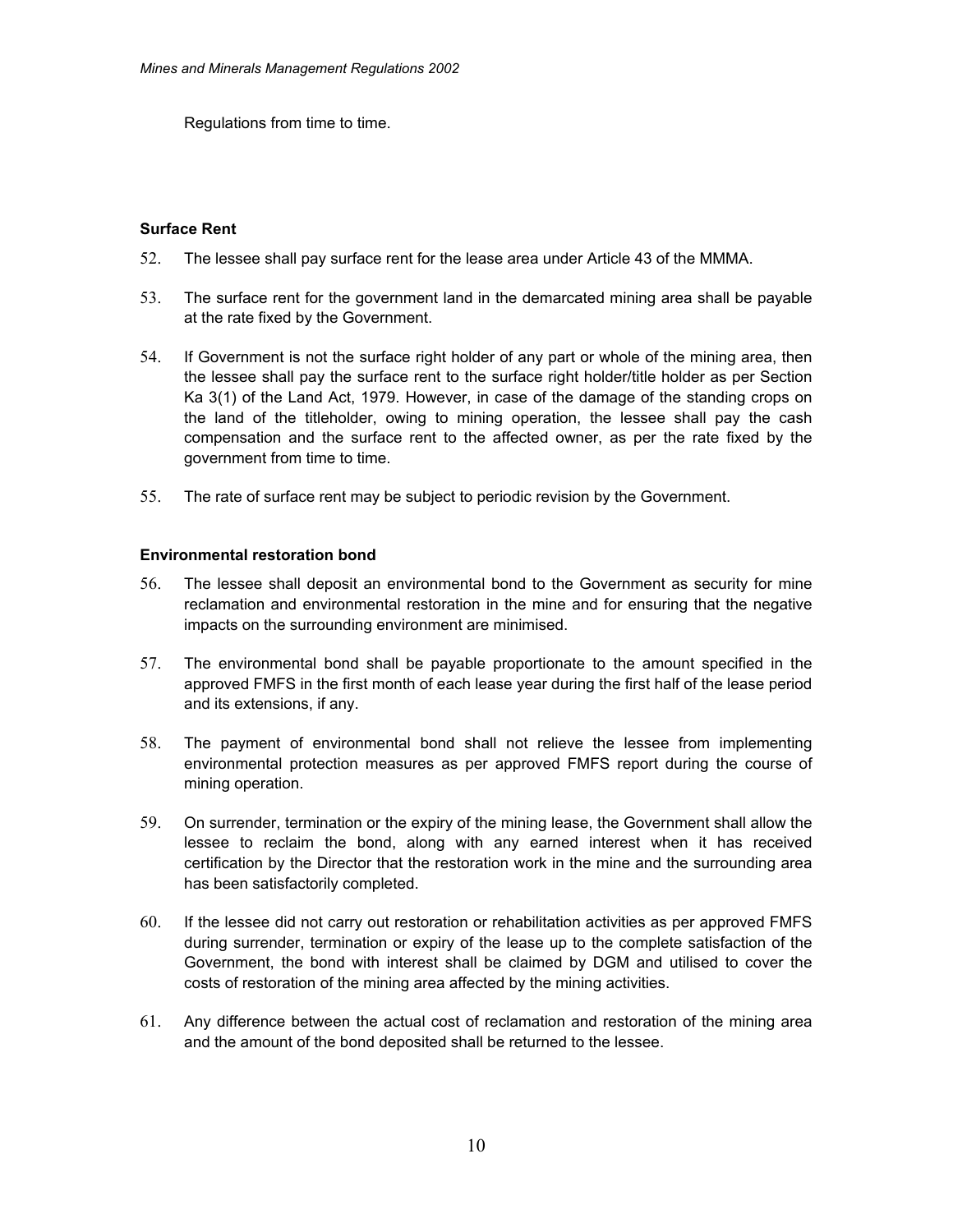Regulations from time to time.

# **Surface Rent**

- 52. The lessee shall pay surface rent for the lease area under Article 43 of the MMMA.
- 53. The surface rent for the government land in the demarcated mining area shall be payable at the rate fixed by the Government.
- 54. If Government is not the surface right holder of any part or whole of the mining area, then the lessee shall pay the surface rent to the surface right holder/title holder as per Section Ka 3(1) of the Land Act, 1979. However, in case of the damage of the standing crops on the land of the titleholder, owing to mining operation, the lessee shall pay the cash compensation and the surface rent to the affected owner, as per the rate fixed by the government from time to time.
- 55. The rate of surface rent may be subject to periodic revision by the Government.

# **Environmental restoration bond**

- 56. The lessee shall deposit an environmental bond to the Government as security for mine reclamation and environmental restoration in the mine and for ensuring that the negative impacts on the surrounding environment are minimised.
- 57. The environmental bond shall be payable proportionate to the amount specified in the approved FMFS in the first month of each lease year during the first half of the lease period and its extensions, if any.
- 58. The payment of environmental bond shall not relieve the lessee from implementing environmental protection measures as per approved FMFS report during the course of mining operation.
- 59. On surrender, termination or the expiry of the mining lease, the Government shall allow the lessee to reclaim the bond, along with any earned interest when it has received certification by the Director that the restoration work in the mine and the surrounding area has been satisfactorily completed.
- 60. If the lessee did not carry out restoration or rehabilitation activities as per approved FMFS during surrender, termination or expiry of the lease up to the complete satisfaction of the Government, the bond with interest shall be claimed by DGM and utilised to cover the costs of restoration of the mining area affected by the mining activities.
- 61. Any difference between the actual cost of reclamation and restoration of the mining area and the amount of the bond deposited shall be returned to the lessee.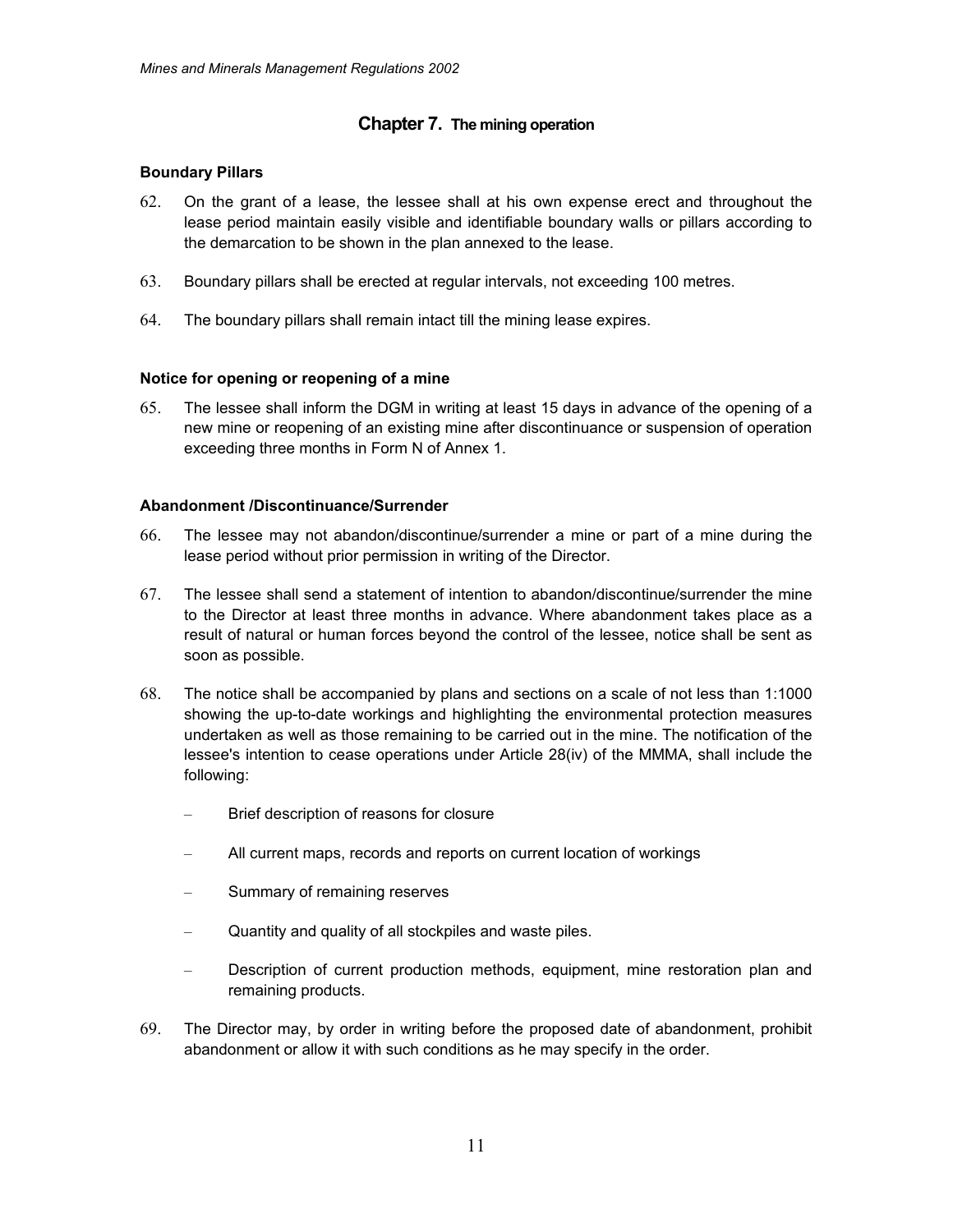# **Chapter 7. The mining operation**

### **Boundary Pillars**

- 62. On the grant of a lease, the lessee shall at his own expense erect and throughout the lease period maintain easily visible and identifiable boundary walls or pillars according to the demarcation to be shown in the plan annexed to the lease.
- 63. Boundary pillars shall be erected at regular intervals, not exceeding 100 metres.
- 64. The boundary pillars shall remain intact till the mining lease expires.

# **Notice for opening or reopening of a mine**

65. The lessee shall inform the DGM in writing at least 15 days in advance of the opening of a new mine or reopening of an existing mine after discontinuance or suspension of operation exceeding three months in Form N of Annex 1.

# **Abandonment /Discontinuance/Surrender**

- 66. The lessee may not abandon/discontinue/surrender a mine or part of a mine during the lease period without prior permission in writing of the Director.
- 67. The lessee shall send a statement of intention to abandon/discontinue/surrender the mine to the Director at least three months in advance. Where abandonment takes place as a result of natural or human forces beyond the control of the lessee, notice shall be sent as soon as possible.
- 68. The notice shall be accompanied by plans and sections on a scale of not less than 1:1000 showing the up-to-date workings and highlighting the environmental protection measures undertaken as well as those remaining to be carried out in the mine. The notification of the lessee's intention to cease operations under Article 28(iv) of the MMMA, shall include the following:
	- Brief description of reasons for closure
	- All current maps, records and reports on current location of workings
	- Summary of remaining reserves
	- Quantity and quality of all stockpiles and waste piles.
	- Description of current production methods, equipment, mine restoration plan and remaining products.
- 69. The Director may, by order in writing before the proposed date of abandonment, prohibit abandonment or allow it with such conditions as he may specify in the order.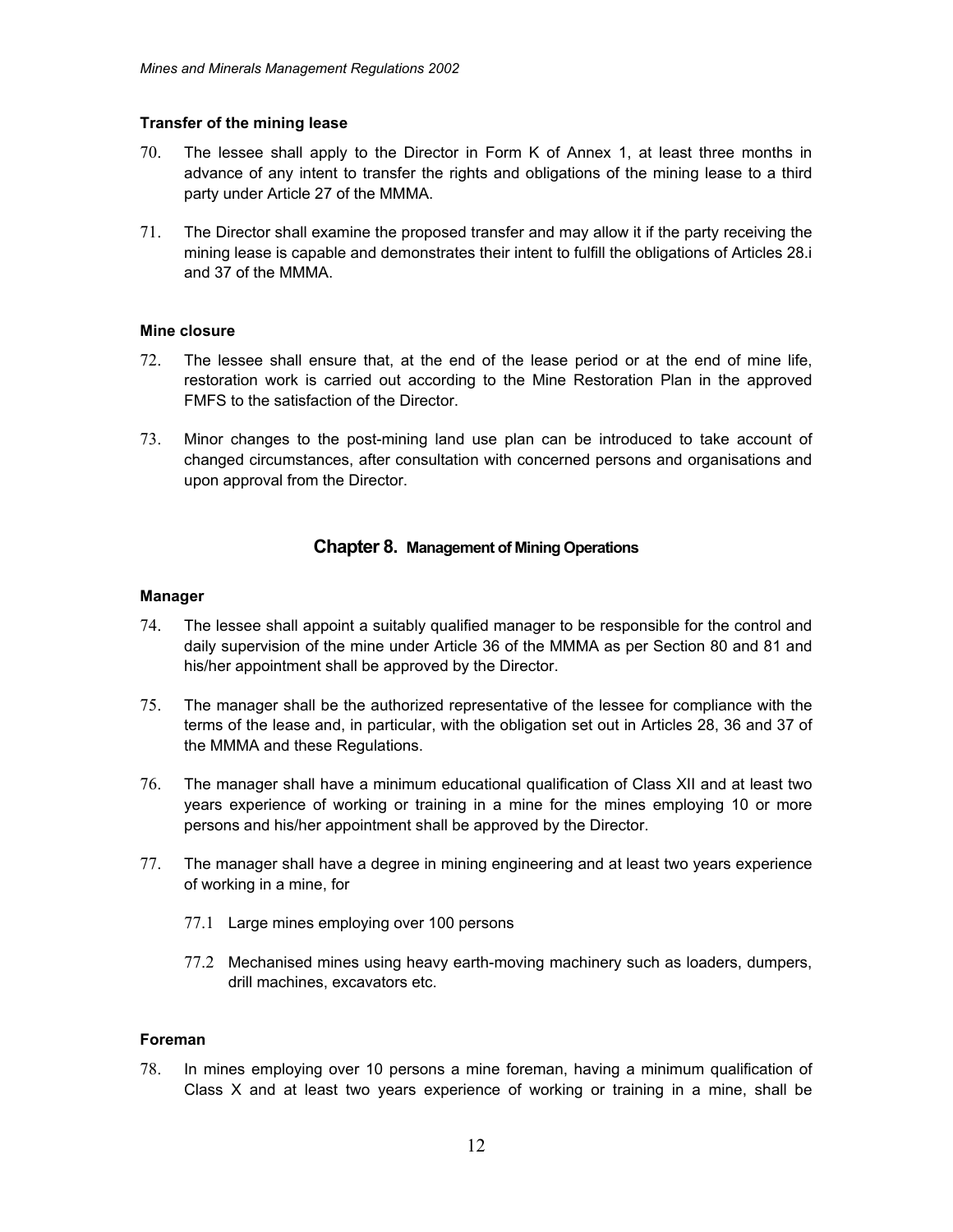### **Transfer of the mining lease**

- 70. The lessee shall apply to the Director in Form K of Annex 1, at least three months in advance of any intent to transfer the rights and obligations of the mining lease to a third party under Article 27 of the MMMA.
- 71. The Director shall examine the proposed transfer and may allow it if the party receiving the mining lease is capable and demonstrates their intent to fulfill the obligations of Articles 28.i and 37 of the MMMA.

### **Mine closure**

- 72. The lessee shall ensure that, at the end of the lease period or at the end of mine life, restoration work is carried out according to the Mine Restoration Plan in the approved FMFS to the satisfaction of the Director.
- 73. Minor changes to the post-mining land use plan can be introduced to take account of changed circumstances, after consultation with concerned persons and organisations and upon approval from the Director.

# **Chapter 8. Management of Mining Operations**

### **Manager**

- 74. The lessee shall appoint a suitably qualified manager to be responsible for the control and daily supervision of the mine under Article 36 of the MMMA as per Section 80 and 81 and his/her appointment shall be approved by the Director.
- 75. The manager shall be the authorized representative of the lessee for compliance with the terms of the lease and, in particular, with the obligation set out in Articles 28, 36 and 37 of the MMMA and these Regulations.
- 76. The manager shall have a minimum educational qualification of Class XII and at least two years experience of working or training in a mine for the mines employing 10 or more persons and his/her appointment shall be approved by the Director.
- 77. The manager shall have a degree in mining engineering and at least two years experience of working in a mine, for
	- 77.1 Large mines employing over 100 persons
	- 77.2 Mechanised mines using heavy earth-moving machinery such as loaders, dumpers, drill machines, excavators etc.

## **Foreman**

78. In mines employing over 10 persons a mine foreman, having a minimum qualification of Class X and at least two years experience of working or training in a mine, shall be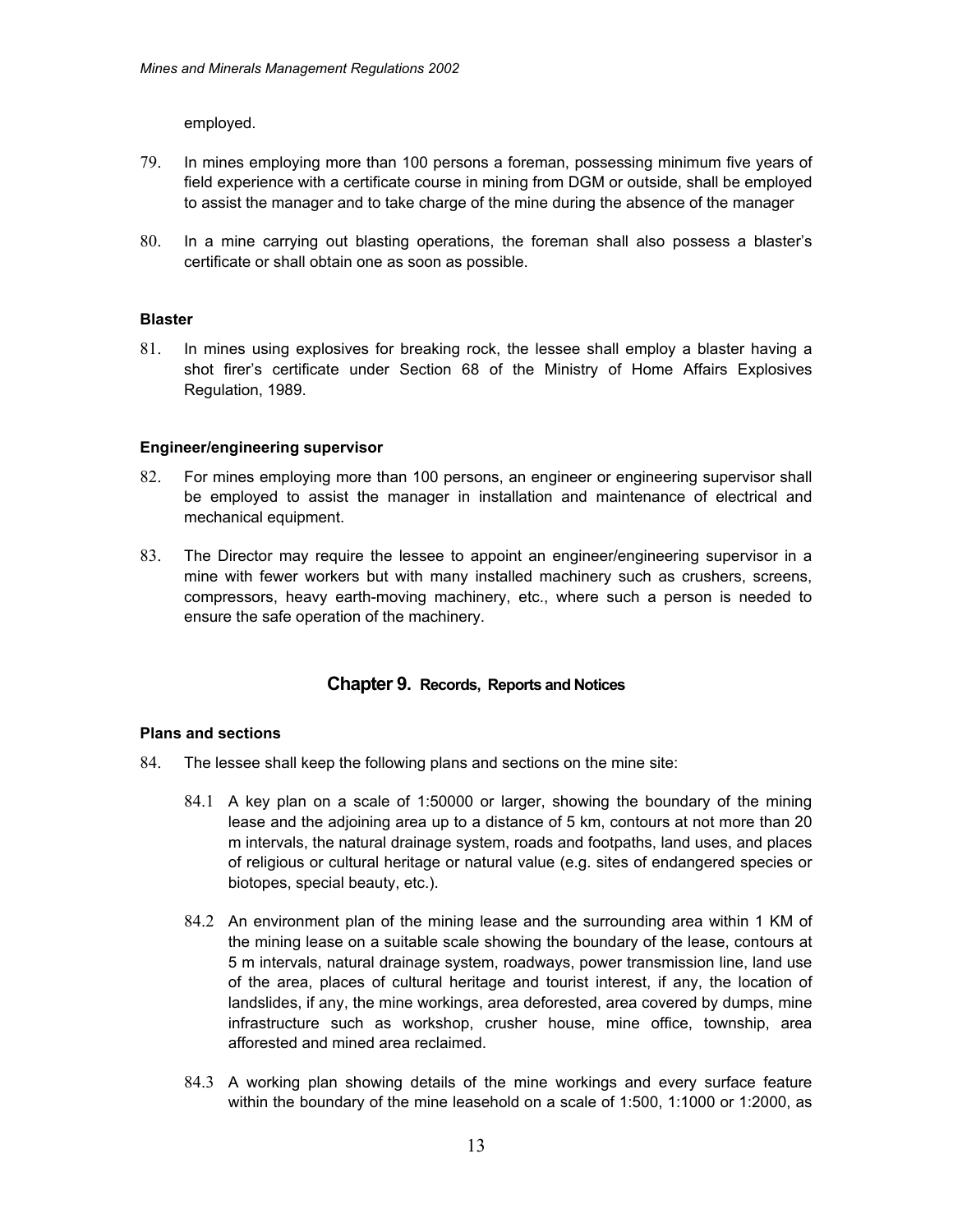employed.

- 79. In mines employing more than 100 persons a foreman, possessing minimum five years of field experience with a certificate course in mining from DGM or outside, shall be employed to assist the manager and to take charge of the mine during the absence of the manager
- 80. In a mine carrying out blasting operations, the foreman shall also possess a blaster's certificate or shall obtain one as soon as possible.

### **Blaster**

81. In mines using explosives for breaking rock, the lessee shall employ a blaster having a shot firer's certificate under Section 68 of the Ministry of Home Affairs Explosives Regulation, 1989.

### **Engineer/engineering supervisor**

- 82. For mines employing more than 100 persons, an engineer or engineering supervisor shall be employed to assist the manager in installation and maintenance of electrical and mechanical equipment.
- 83. The Director may require the lessee to appoint an engineer/engineering supervisor in a mine with fewer workers but with many installed machinery such as crushers, screens, compressors, heavy earth-moving machinery, etc., where such a person is needed to ensure the safe operation of the machinery.

### **Chapter 9. Records, Reports and Notices**

### **Plans and sections**

- 84. The lessee shall keep the following plans and sections on the mine site:
	- 84.1 A key plan on a scale of 1:50000 or larger, showing the boundary of the mining lease and the adjoining area up to a distance of 5 km, contours at not more than 20 m intervals, the natural drainage system, roads and footpaths, land uses, and places of religious or cultural heritage or natural value (e.g. sites of endangered species or biotopes, special beauty, etc.).
	- 84.2 An environment plan of the mining lease and the surrounding area within 1 KM of the mining lease on a suitable scale showing the boundary of the lease, contours at 5 m intervals, natural drainage system, roadways, power transmission line, land use of the area, places of cultural heritage and tourist interest, if any, the location of landslides, if any, the mine workings, area deforested, area covered by dumps, mine infrastructure such as workshop, crusher house, mine office, township, area afforested and mined area reclaimed.
	- 84.3 A working plan showing details of the mine workings and every surface feature within the boundary of the mine leasehold on a scale of 1:500, 1:1000 or 1:2000, as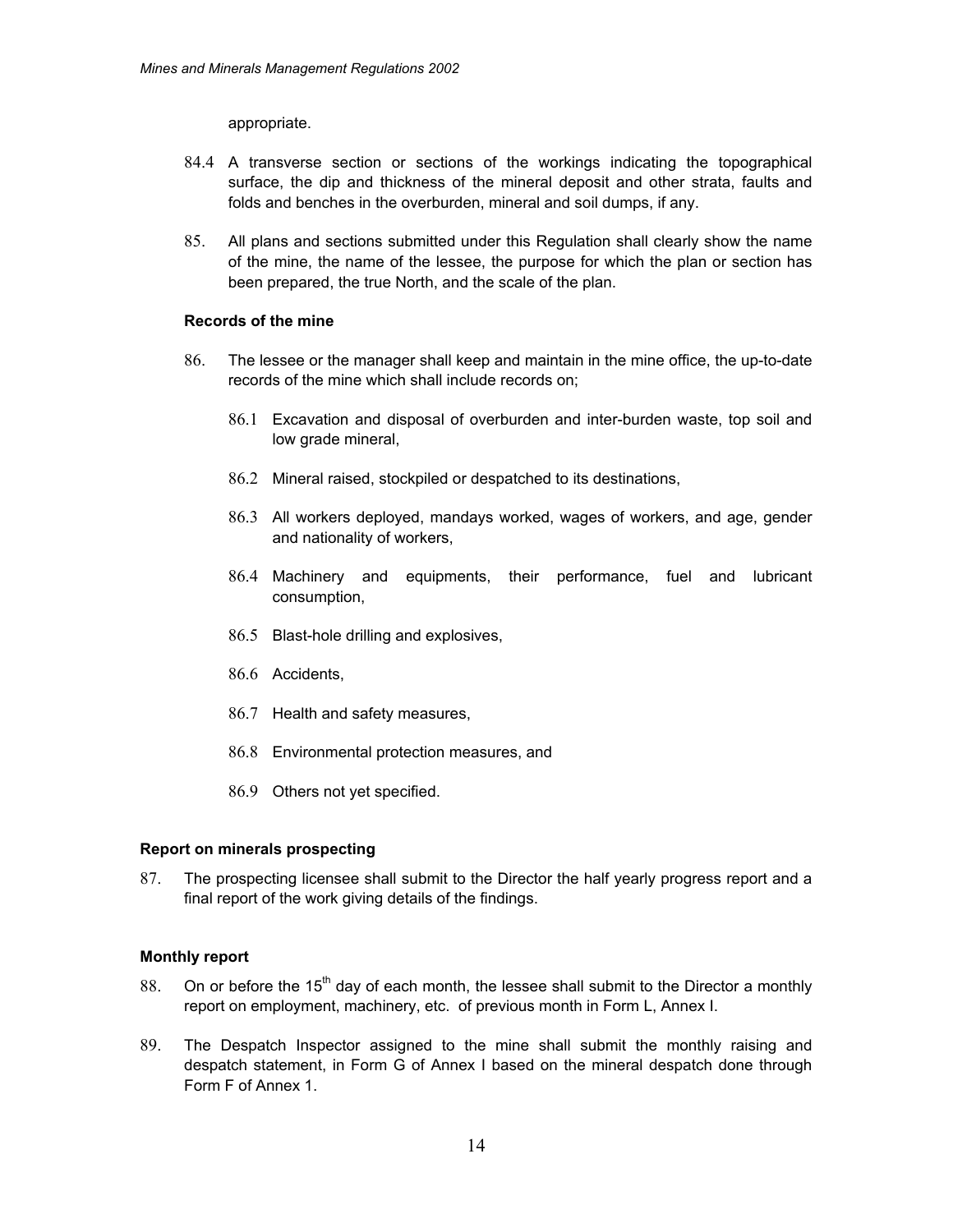appropriate.

- 84.4 A transverse section or sections of the workings indicating the topographical surface, the dip and thickness of the mineral deposit and other strata, faults and folds and benches in the overburden, mineral and soil dumps, if any.
- 85. All plans and sections submitted under this Regulation shall clearly show the name of the mine, the name of the lessee, the purpose for which the plan or section has been prepared, the true North, and the scale of the plan.

### **Records of the mine**

- 86. The lessee or the manager shall keep and maintain in the mine office, the up-to-date records of the mine which shall include records on;
	- 86.1 Excavation and disposal of overburden and inter-burden waste, top soil and low grade mineral,
	- 86.2 Mineral raised, stockpiled or despatched to its destinations,
	- 86.3 All workers deployed, mandays worked, wages of workers, and age, gender and nationality of workers,
	- 86.4 Machinery and equipments, their performance, fuel and lubricant consumption,
	- 86.5 Blast-hole drilling and explosives,
	- 86.6 Accidents,
	- 86.7 Health and safety measures,
	- 86.8 Environmental protection measures, and
	- 86.9 Others not yet specified.

#### **Report on minerals prospecting**

87. The prospecting licensee shall submit to the Director the half yearly progress report and a final report of the work giving details of the findings.

#### **Monthly report**

- 88. On or before the 15<sup>th</sup> day of each month, the lessee shall submit to the Director a monthly report on employment, machinery, etc. of previous month in Form L, Annex I.
- 89. The Despatch Inspector assigned to the mine shall submit the monthly raising and despatch statement, in Form G of Annex I based on the mineral despatch done through Form F of Annex 1.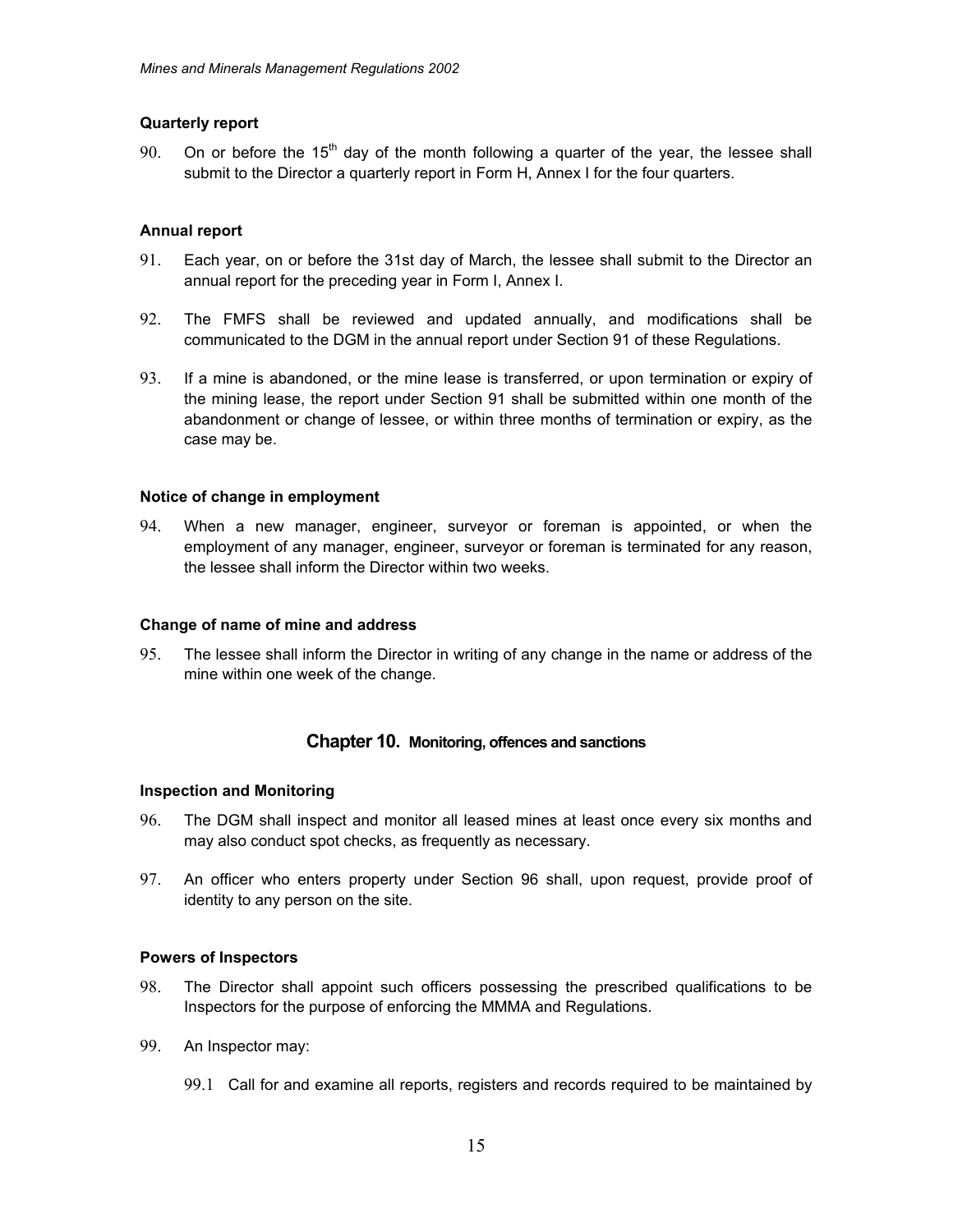### **Quarterly report**

90. On or before the  $15<sup>th</sup>$  day of the month following a quarter of the year, the lessee shall submit to the Director a quarterly report in Form H, Annex I for the four quarters.

### **Annual report**

- 91. Each year, on or before the 31st day of March, the lessee shall submit to the Director an annual report for the preceding year in Form I, Annex I.
- 92. The FMFS shall be reviewed and updated annually, and modifications shall be communicated to the DGM in the annual report under Section 91 of these Regulations.
- 93. If a mine is abandoned, or the mine lease is transferred, or upon termination or expiry of the mining lease, the report under Section 91 shall be submitted within one month of the abandonment or change of lessee, or within three months of termination or expiry, as the case may be.

### **Notice of change in employment**

94. When a new manager, engineer, surveyor or foreman is appointed, or when the employment of any manager, engineer, surveyor or foreman is terminated for any reason, the lessee shall inform the Director within two weeks.

#### **Change of name of mine and address**

95. The lessee shall inform the Director in writing of any change in the name or address of the mine within one week of the change.

### **Chapter 10. Monitoring, offences and sanctions**

#### **Inspection and Monitoring**

- 96. The DGM shall inspect and monitor all leased mines at least once every six months and may also conduct spot checks, as frequently as necessary.
- 97. An officer who enters property under Section 96 shall, upon request, provide proof of identity to any person on the site.

### **Powers of Inspectors**

- 98. The Director shall appoint such officers possessing the prescribed qualifications to be Inspectors for the purpose of enforcing the MMMA and Regulations.
- 99. An Inspector may:
	- 99.1 Call for and examine all reports, registers and records required to be maintained by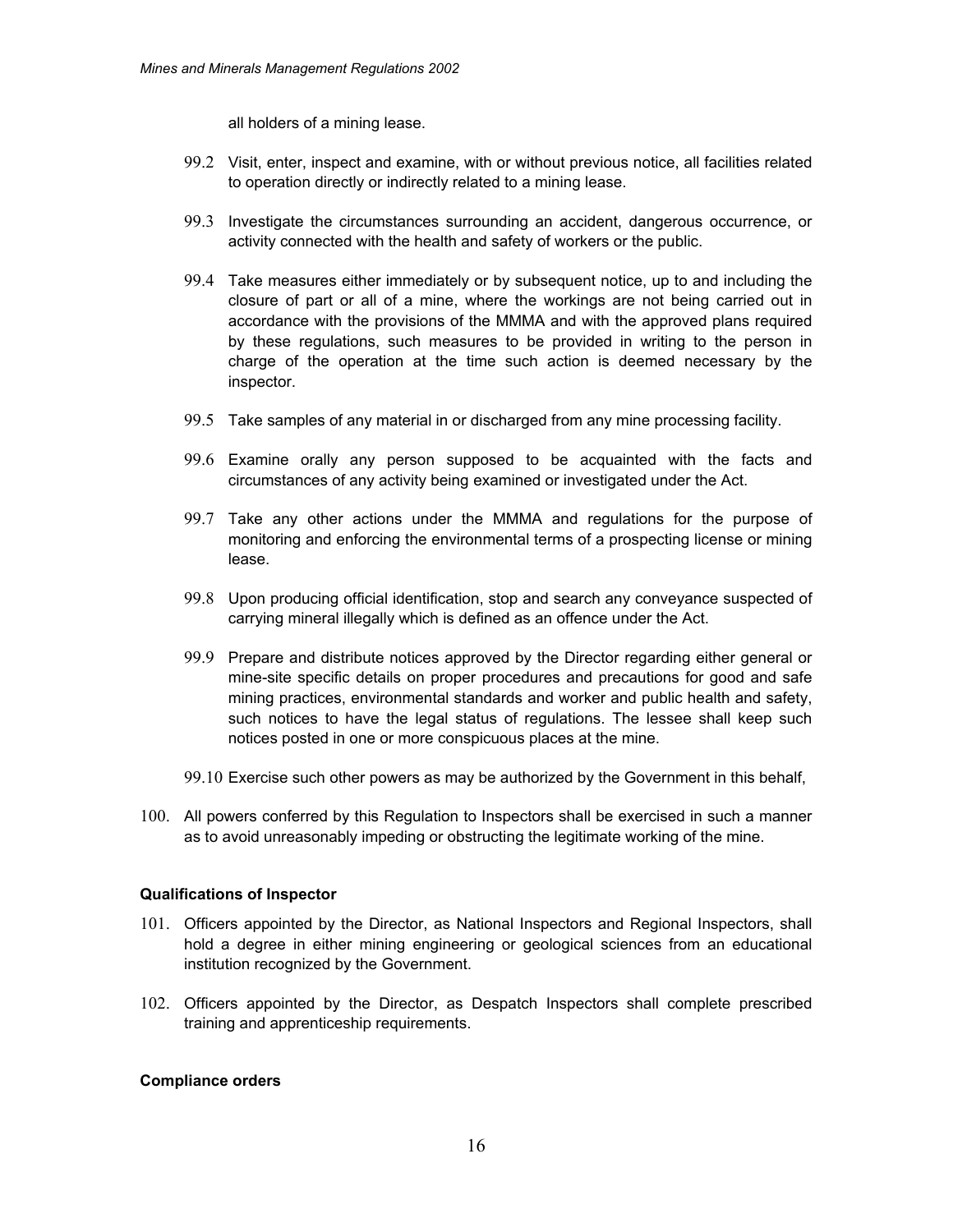all holders of a mining lease.

- 99.2 Visit, enter, inspect and examine, with or without previous notice, all facilities related to operation directly or indirectly related to a mining lease.
- 99.3 Investigate the circumstances surrounding an accident, dangerous occurrence, or activity connected with the health and safety of workers or the public.
- 99.4 Take measures either immediately or by subsequent notice, up to and including the closure of part or all of a mine, where the workings are not being carried out in accordance with the provisions of the MMMA and with the approved plans required by these regulations, such measures to be provided in writing to the person in charge of the operation at the time such action is deemed necessary by the inspector.
- 99.5 Take samples of any material in or discharged from any mine processing facility.
- 99.6 Examine orally any person supposed to be acquainted with the facts and circumstances of any activity being examined or investigated under the Act.
- 99.7 Take any other actions under the MMMA and regulations for the purpose of monitoring and enforcing the environmental terms of a prospecting license or mining lease.
- 99.8 Upon producing official identification, stop and search any conveyance suspected of carrying mineral illegally which is defined as an offence under the Act.
- 99.9 Prepare and distribute notices approved by the Director regarding either general or mine-site specific details on proper procedures and precautions for good and safe mining practices, environmental standards and worker and public health and safety, such notices to have the legal status of regulations. The lessee shall keep such notices posted in one or more conspicuous places at the mine.
- 99.10 Exercise such other powers as may be authorized by the Government in this behalf,
- 100. All powers conferred by this Regulation to Inspectors shall be exercised in such a manner as to avoid unreasonably impeding or obstructing the legitimate working of the mine.

### **Qualifications of Inspector**

- 101. Officers appointed by the Director, as National Inspectors and Regional Inspectors, shall hold a degree in either mining engineering or geological sciences from an educational institution recognized by the Government.
- 102. Officers appointed by the Director, as Despatch Inspectors shall complete prescribed training and apprenticeship requirements.

#### **Compliance orders**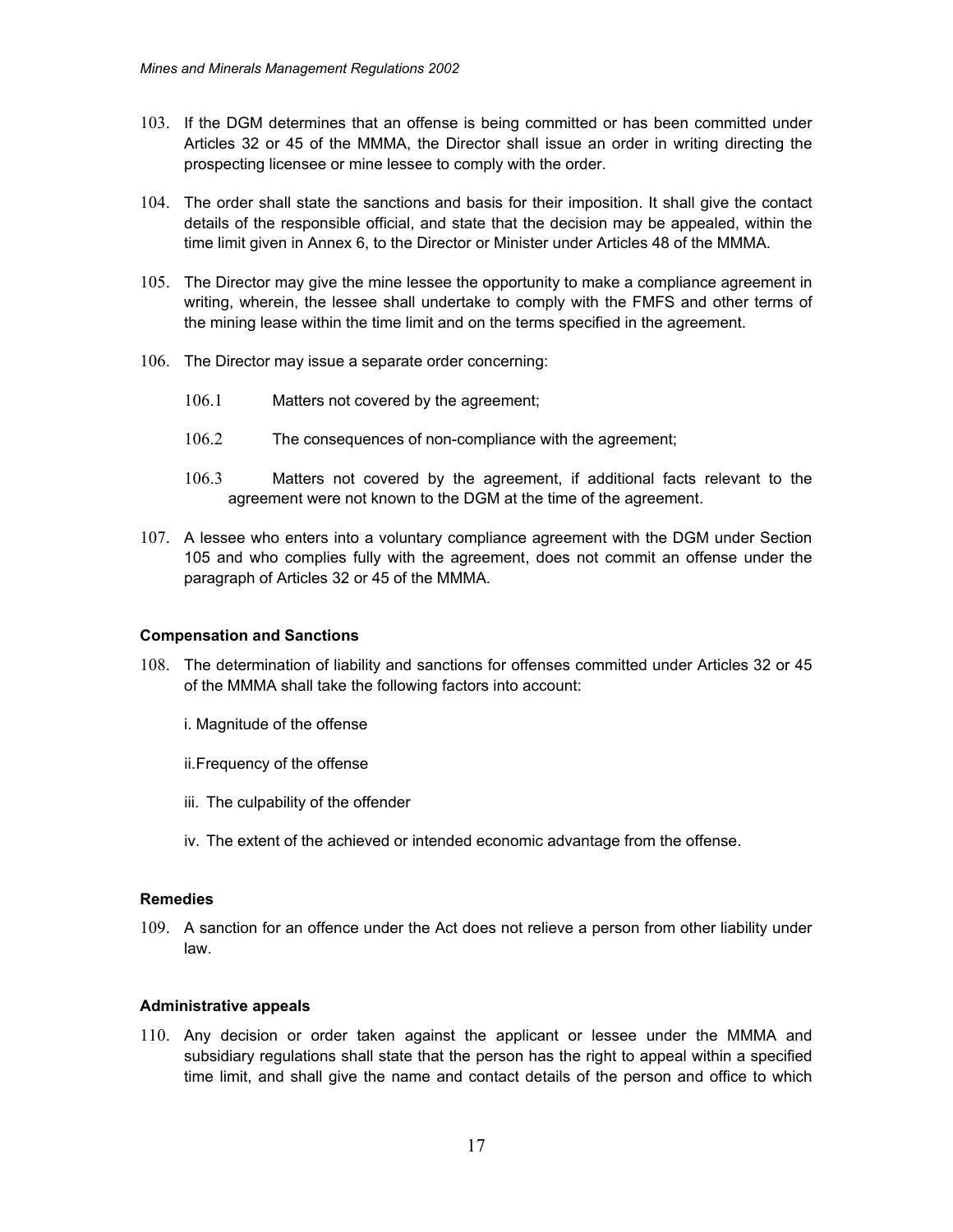- 103. If the DGM determines that an offense is being committed or has been committed under Articles 32 or 45 of the MMMA, the Director shall issue an order in writing directing the prospecting licensee or mine lessee to comply with the order.
- 104. The order shall state the sanctions and basis for their imposition. It shall give the contact details of the responsible official, and state that the decision may be appealed, within the time limit given in Annex 6, to the Director or Minister under Articles 48 of the MMMA.
- 105. The Director may give the mine lessee the opportunity to make a compliance agreement in writing, wherein, the lessee shall undertake to comply with the FMFS and other terms of the mining lease within the time limit and on the terms specified in the agreement.
- 106. The Director may issue a separate order concerning:
	- 106.1 Matters not covered by the agreement;
	- 106.2 The consequences of non-compliance with the agreement;
	- 106.3 Matters not covered by the agreement, if additional facts relevant to the agreement were not known to the DGM at the time of the agreement.
- 107. A lessee who enters into a voluntary compliance agreement with the DGM under Section 105 and who complies fully with the agreement, does not commit an offense under the paragraph of Articles 32 or 45 of the MMMA.

### **Compensation and Sanctions**

- 108. The determination of liability and sanctions for offenses committed under Articles 32 or 45 of the MMMA shall take the following factors into account:
	- i. Magnitude of the offense
	- ii. Frequency of the offense
	- iii. The culpability of the offender
	- iv. The extent of the achieved or intended economic advantage from the offense.

### **Remedies**

109. A sanction for an offence under the Act does not relieve a person from other liability under law.

#### **Administrative appeals**

110. Any decision or order taken against the applicant or lessee under the MMMA and subsidiary regulations shall state that the person has the right to appeal within a specified time limit, and shall give the name and contact details of the person and office to which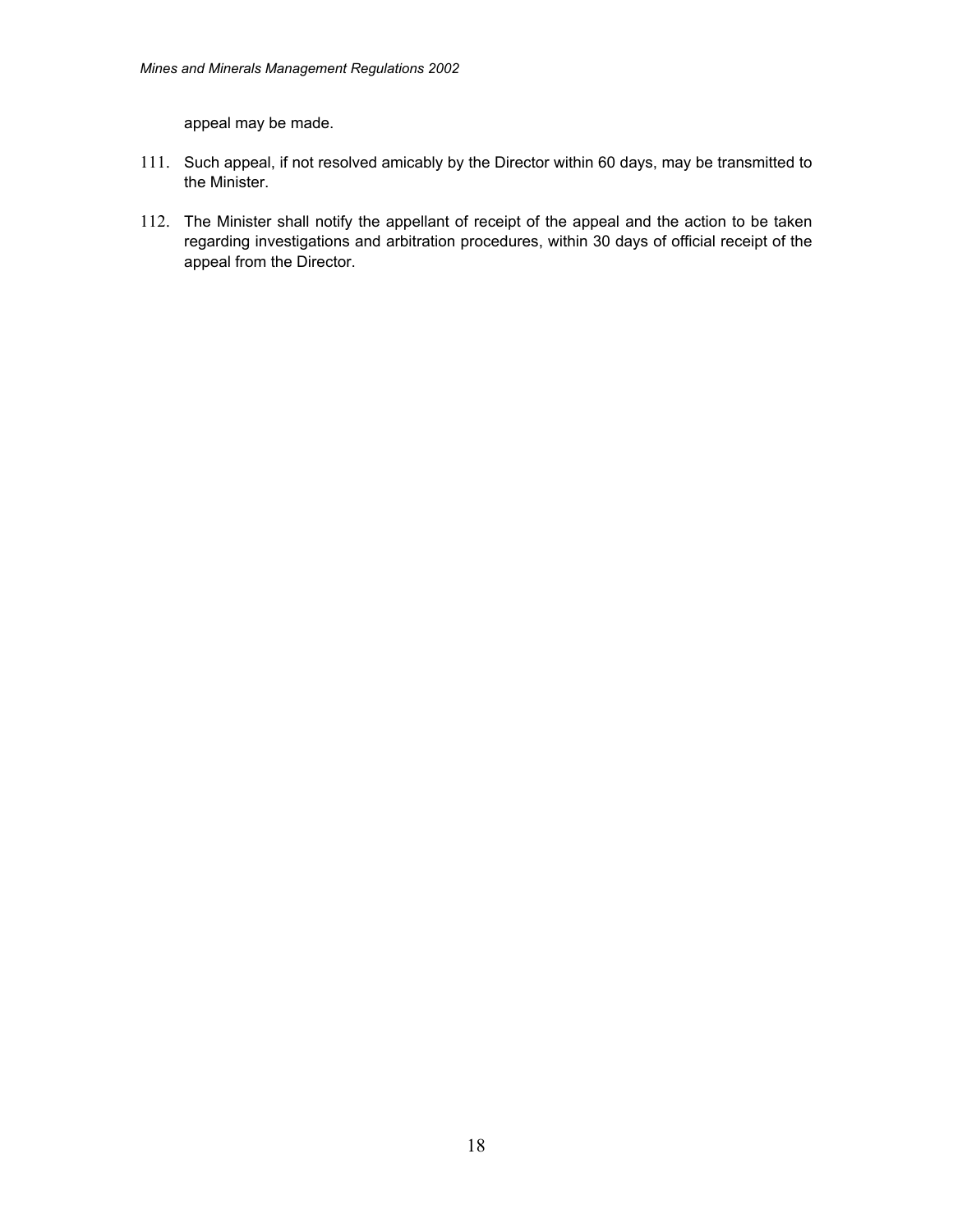appeal may be made.

- 111. Such appeal, if not resolved amicably by the Director within 60 days, may be transmitted to the Minister.
- 112. The Minister shall notify the appellant of receipt of the appeal and the action to be taken regarding investigations and arbitration procedures, within 30 days of official receipt of the appeal from the Director.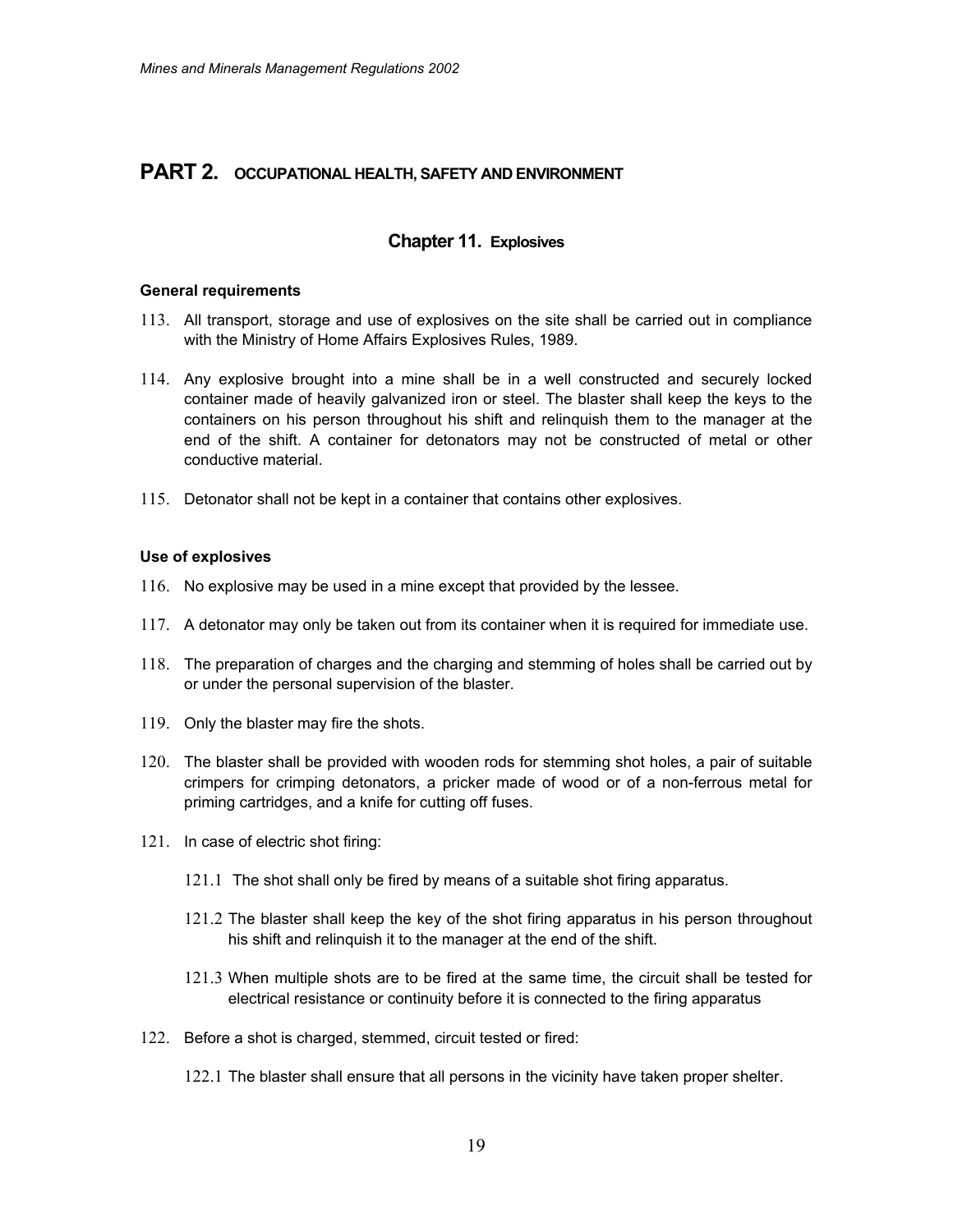# **PART 2. OCCUPATIONAL HEALTH, SAFETY AND ENVIRONMENT**

# **Chapter 11. Explosives**

### **General requirements**

- 113. All transport, storage and use of explosives on the site shall be carried out in compliance with the Ministry of Home Affairs Explosives Rules, 1989.
- 114. Any explosive brought into a mine shall be in a well constructed and securely locked container made of heavily galvanized iron or steel. The blaster shall keep the keys to the containers on his person throughout his shift and relinquish them to the manager at the end of the shift. A container for detonators may not be constructed of metal or other conductive material.
- 115. Detonator shall not be kept in a container that contains other explosives.

# **Use of explosives**

- 116. No explosive may be used in a mine except that provided by the lessee.
- 117. A detonator may only be taken out from its container when it is required for immediate use.
- 118. The preparation of charges and the charging and stemming of holes shall be carried out by or under the personal supervision of the blaster.
- 119. Only the blaster may fire the shots.
- 120. The blaster shall be provided with wooden rods for stemming shot holes, a pair of suitable crimpers for crimping detonators, a pricker made of wood or of a non-ferrous metal for priming cartridges, and a knife for cutting off fuses.
- 121. In case of electric shot firing:
	- 121.1 The shot shall only be fired by means of a suitable shot firing apparatus.
	- 121.2 The blaster shall keep the key of the shot firing apparatus in his person throughout his shift and relinquish it to the manager at the end of the shift.
	- 121.3 When multiple shots are to be fired at the same time, the circuit shall be tested for electrical resistance or continuity before it is connected to the firing apparatus
- 122. Before a shot is charged, stemmed, circuit tested or fired:
	- 122.1 The blaster shall ensure that all persons in the vicinity have taken proper shelter.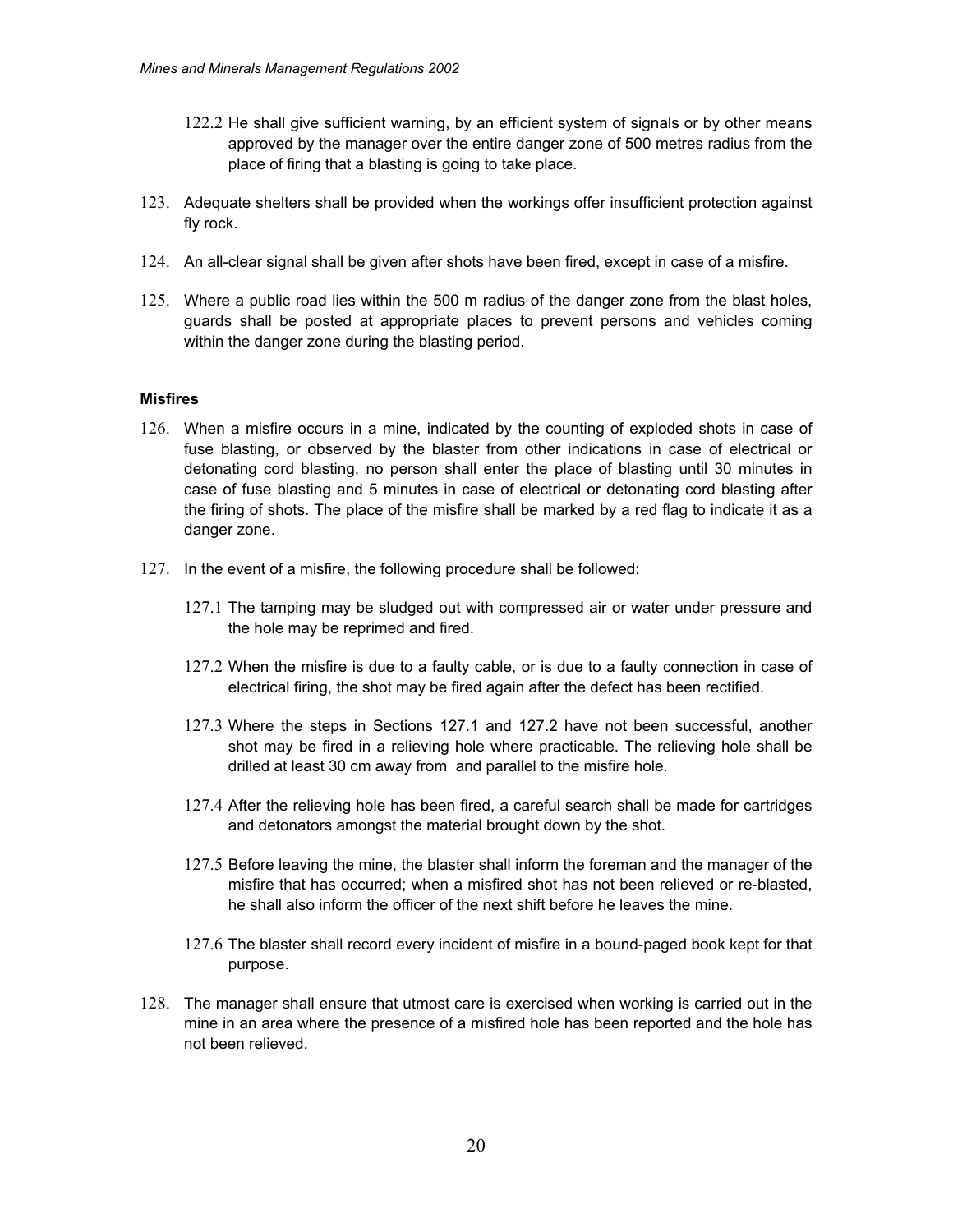- 122.2 He shall give sufficient warning, by an efficient system of signals or by other means approved by the manager over the entire danger zone of 500 metres radius from the place of firing that a blasting is going to take place.
- 123. Adequate shelters shall be provided when the workings offer insufficient protection against fly rock.
- 124. An all-clear signal shall be given after shots have been fired, except in case of a misfire.
- 125. Where a public road lies within the 500 m radius of the danger zone from the blast holes, guards shall be posted at appropriate places to prevent persons and vehicles coming within the danger zone during the blasting period.

### **Misfires**

- 126. When a misfire occurs in a mine, indicated by the counting of exploded shots in case of fuse blasting, or observed by the blaster from other indications in case of electrical or detonating cord blasting, no person shall enter the place of blasting until 30 minutes in case of fuse blasting and 5 minutes in case of electrical or detonating cord blasting after the firing of shots. The place of the misfire shall be marked by a red flag to indicate it as a danger zone.
- 127. In the event of a misfire, the following procedure shall be followed:
	- 127.1 The tamping may be sludged out with compressed air or water under pressure and the hole may be reprimed and fired.
	- 127.2 When the misfire is due to a faulty cable, or is due to a faulty connection in case of electrical firing, the shot may be fired again after the defect has been rectified.
	- 127.3 Where the steps in Sections 127.1 and 127.2 have not been successful, another shot may be fired in a relieving hole where practicable. The relieving hole shall be drilled at least 30 cm away from and parallel to the misfire hole.
	- 127.4 After the relieving hole has been fired, a careful search shall be made for cartridges and detonators amongst the material brought down by the shot.
	- 127.5 Before leaving the mine, the blaster shall inform the foreman and the manager of the misfire that has occurred; when a misfired shot has not been relieved or re-blasted, he shall also inform the officer of the next shift before he leaves the mine.
	- 127.6 The blaster shall record every incident of misfire in a bound-paged book kept for that purpose.
- 128. The manager shall ensure that utmost care is exercised when working is carried out in the mine in an area where the presence of a misfired hole has been reported and the hole has not been relieved.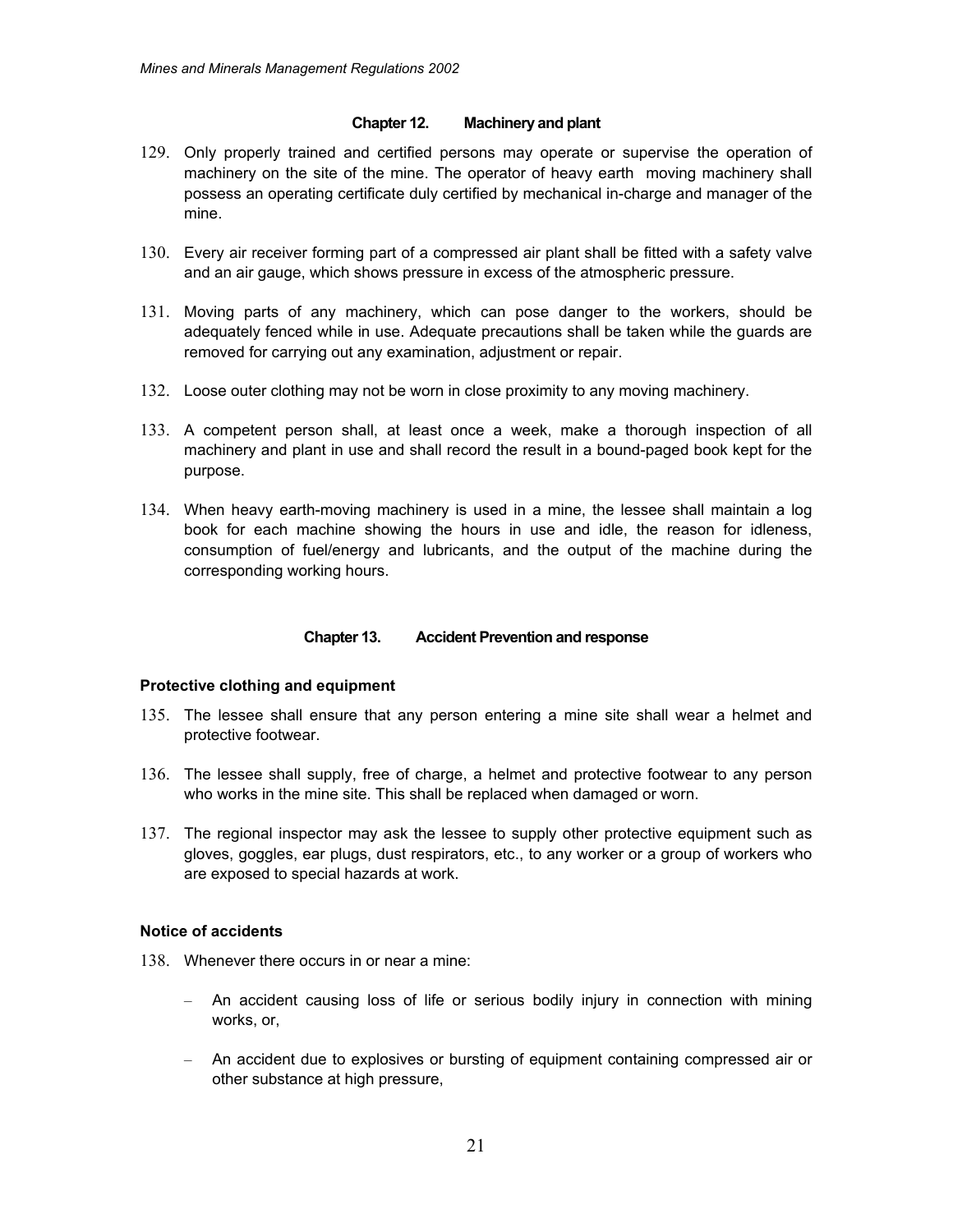### **Chapter 12. Machinery and plant**

- 129. Only properly trained and certified persons may operate or supervise the operation of machinery on the site of the mine. The operator of heavy earth moving machinery shall possess an operating certificate duly certified by mechanical in-charge and manager of the mine.
- 130. Every air receiver forming part of a compressed air plant shall be fitted with a safety valve and an air gauge, which shows pressure in excess of the atmospheric pressure.
- 131. Moving parts of any machinery, which can pose danger to the workers, should be adequately fenced while in use. Adequate precautions shall be taken while the guards are removed for carrying out any examination, adjustment or repair.
- 132. Loose outer clothing may not be worn in close proximity to any moving machinery.
- 133. A competent person shall, at least once a week, make a thorough inspection of all machinery and plant in use and shall record the result in a bound-paged book kept for the purpose.
- 134. When heavy earth-moving machinery is used in a mine, the lessee shall maintain a log book for each machine showing the hours in use and idle, the reason for idleness, consumption of fuel/energy and lubricants, and the output of the machine during the corresponding working hours.

### **Chapter 13. Accident Prevention and response**

#### **Protective clothing and equipment**

- 135. The lessee shall ensure that any person entering a mine site shall wear a helmet and protective footwear.
- 136. The lessee shall supply, free of charge, a helmet and protective footwear to any person who works in the mine site. This shall be replaced when damaged or worn.
- 137. The regional inspector may ask the lessee to supply other protective equipment such as gloves, goggles, ear plugs, dust respirators, etc., to any worker or a group of workers who are exposed to special hazards at work.

### **Notice of accidents**

- 138. Whenever there occurs in or near a mine:
	- An accident causing loss of life or serious bodily injury in connection with mining works, or,
	- An accident due to explosives or bursting of equipment containing compressed air or other substance at high pressure,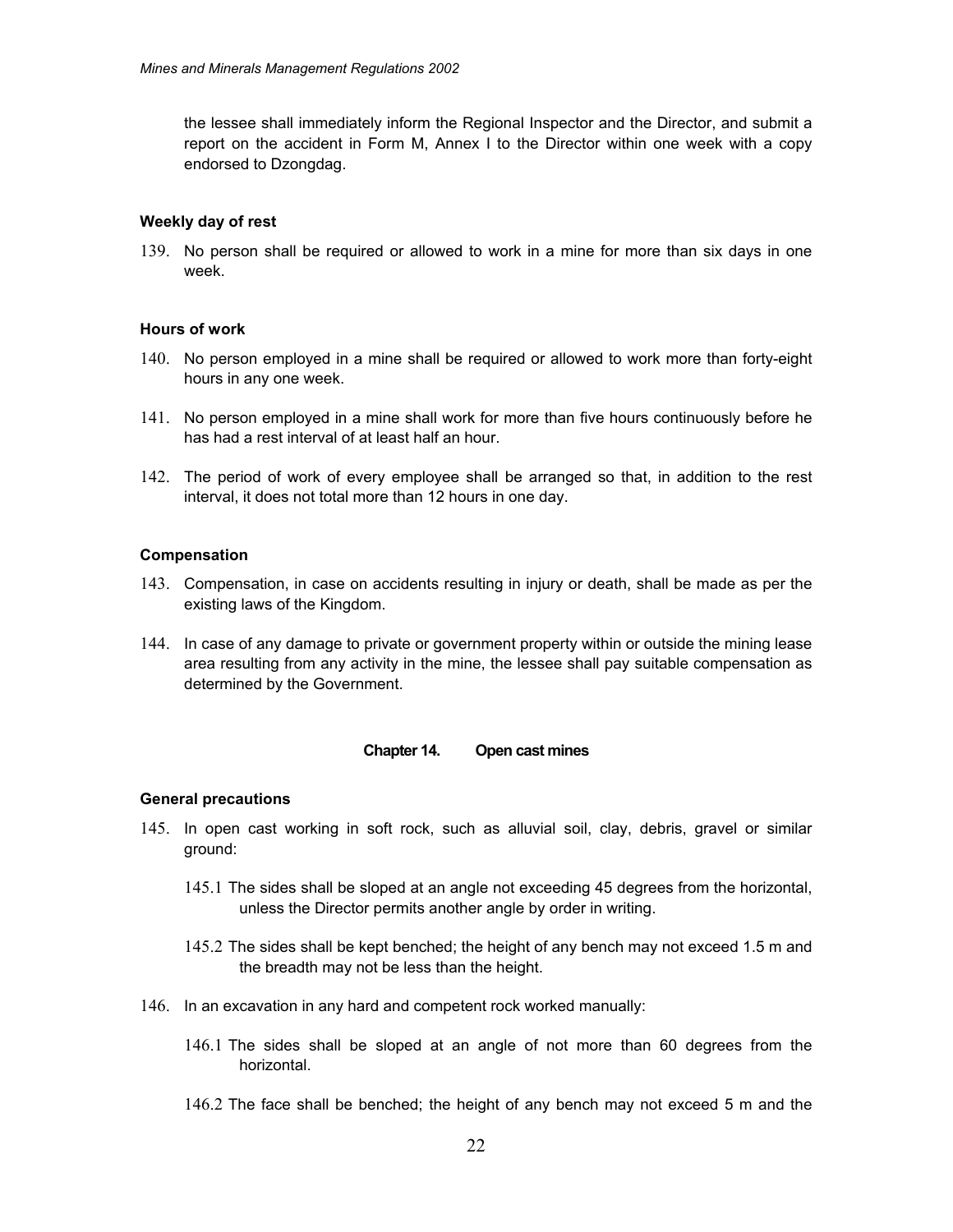the lessee shall immediately inform the Regional Inspector and the Director, and submit a report on the accident in Form M, Annex I to the Director within one week with a copy endorsed to Dzongdag.

### **Weekly day of rest**

139. No person shall be required or allowed to work in a mine for more than six days in one week.

### **Hours of work**

- 140. No person employed in a mine shall be required or allowed to work more than forty-eight hours in any one week.
- 141. No person employed in a mine shall work for more than five hours continuously before he has had a rest interval of at least half an hour.
- 142. The period of work of every employee shall be arranged so that, in addition to the rest interval, it does not total more than 12 hours in one day.

### **Compensation**

- 143. Compensation, in case on accidents resulting in injury or death, shall be made as per the existing laws of the Kingdom.
- 144. In case of any damage to private or government property within or outside the mining lease area resulting from any activity in the mine, the lessee shall pay suitable compensation as determined by the Government.

#### **Chapter 14. Open cast mines**

#### **General precautions**

- 145. In open cast working in soft rock, such as alluvial soil, clay, debris, gravel or similar ground:
	- 145.1 The sides shall be sloped at an angle not exceeding 45 degrees from the horizontal, unless the Director permits another angle by order in writing.
	- 145.2 The sides shall be kept benched; the height of any bench may not exceed 1.5 m and the breadth may not be less than the height.
- 146. In an excavation in any hard and competent rock worked manually:
	- 146.1 The sides shall be sloped at an angle of not more than 60 degrees from the horizontal.
	- 146.2 The face shall be benched; the height of any bench may not exceed 5 m and the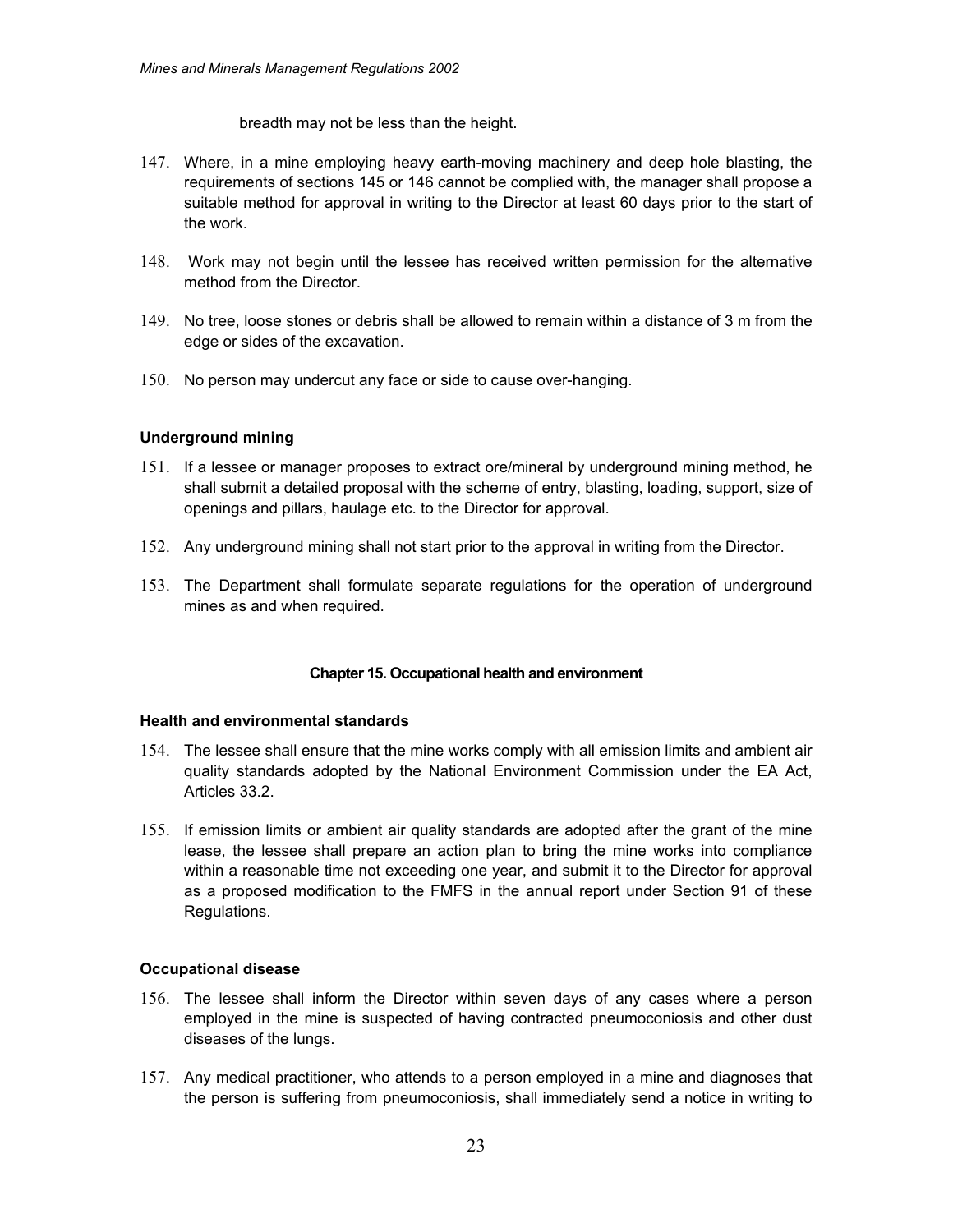breadth may not be less than the height.

- 147. Where, in a mine employing heavy earth-moving machinery and deep hole blasting, the requirements of sections 145 or 146 cannot be complied with, the manager shall propose a suitable method for approval in writing to the Director at least 60 days prior to the start of the work.
- 148. Work may not begin until the lessee has received written permission for the alternative method from the Director.
- 149. No tree, loose stones or debris shall be allowed to remain within a distance of 3 m from the edge or sides of the excavation.
- 150. No person may undercut any face or side to cause over-hanging.

# **Underground mining**

- 151. If a lessee or manager proposes to extract ore/mineral by underground mining method, he shall submit a detailed proposal with the scheme of entry, blasting, loading, support, size of openings and pillars, haulage etc. to the Director for approval.
- 152. Any underground mining shall not start prior to the approval in writing from the Director.
- 153. The Department shall formulate separate regulations for the operation of underground mines as and when required.

### **Chapter 15. Occupational health and environment**

### **Health and environmental standards**

- 154. The lessee shall ensure that the mine works comply with all emission limits and ambient air quality standards adopted by the National Environment Commission under the EA Act, Articles 33.2.
- 155. If emission limits or ambient air quality standards are adopted after the grant of the mine lease, the lessee shall prepare an action plan to bring the mine works into compliance within a reasonable time not exceeding one year, and submit it to the Director for approval as a proposed modification to the FMFS in the annual report under Section 91 of these Regulations.

### **Occupational disease**

- 156. The lessee shall inform the Director within seven days of any cases where a person employed in the mine is suspected of having contracted pneumoconiosis and other dust diseases of the lungs.
- 157. Any medical practitioner, who attends to a person employed in a mine and diagnoses that the person is suffering from pneumoconiosis, shall immediately send a notice in writing to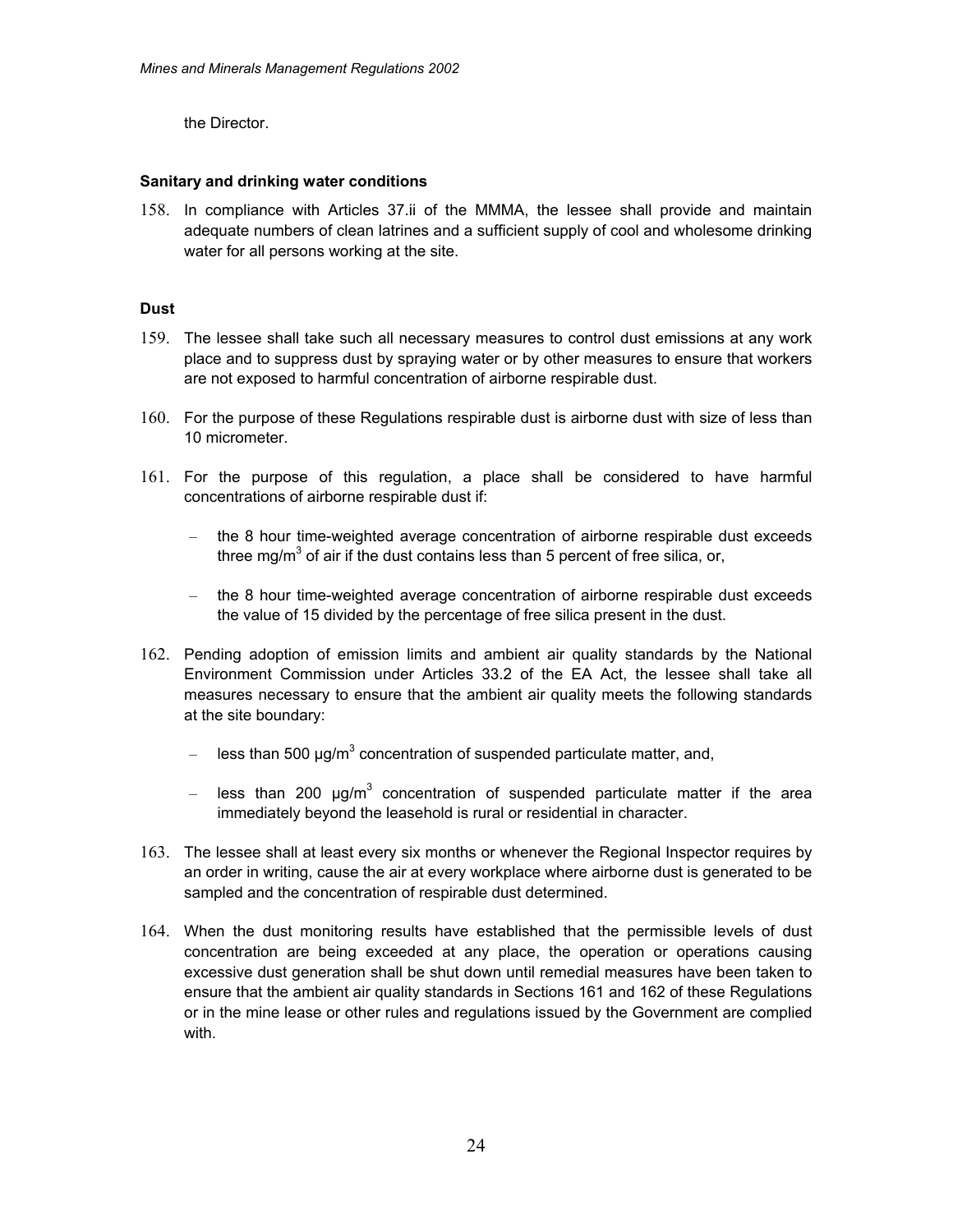the Director.

# **Sanitary and drinking water conditions**

158. In compliance with Articles 37.ii of the MMMA, the lessee shall provide and maintain adequate numbers of clean latrines and a sufficient supply of cool and wholesome drinking water for all persons working at the site.

# **Dust**

- 159. The lessee shall take such all necessary measures to control dust emissions at any work place and to suppress dust by spraying water or by other measures to ensure that workers are not exposed to harmful concentration of airborne respirable dust.
- 160. For the purpose of these Regulations respirable dust is airborne dust with size of less than 10 micrometer.
- 161. For the purpose of this regulation, a place shall be considered to have harmful concentrations of airborne respirable dust if:
	- the 8 hour time-weighted average concentration of airborne respirable dust exceeds three mg/m<sup>3</sup> of air if the dust contains less than 5 percent of free silica, or,
	- the 8 hour time-weighted average concentration of airborne respirable dust exceeds the value of 15 divided by the percentage of free silica present in the dust.
- 162. Pending adoption of emission limits and ambient air quality standards by the National Environment Commission under Articles 33.2 of the EA Act, the lessee shall take all measures necessary to ensure that the ambient air quality meets the following standards at the site boundary:
	- $-$  less than 500  $\mu$ g/m<sup>3</sup> concentration of suspended particulate matter, and,
	- $-$  less than 200  $\mu$ g/m<sup>3</sup> concentration of suspended particulate matter if the area immediately beyond the leasehold is rural or residential in character.
- 163. The lessee shall at least every six months or whenever the Regional Inspector requires by an order in writing, cause the air at every workplace where airborne dust is generated to be sampled and the concentration of respirable dust determined.
- 164. When the dust monitoring results have established that the permissible levels of dust concentration are being exceeded at any place, the operation or operations causing excessive dust generation shall be shut down until remedial measures have been taken to ensure that the ambient air quality standards in Sections 161 and 162 of these Regulations or in the mine lease or other rules and regulations issued by the Government are complied with.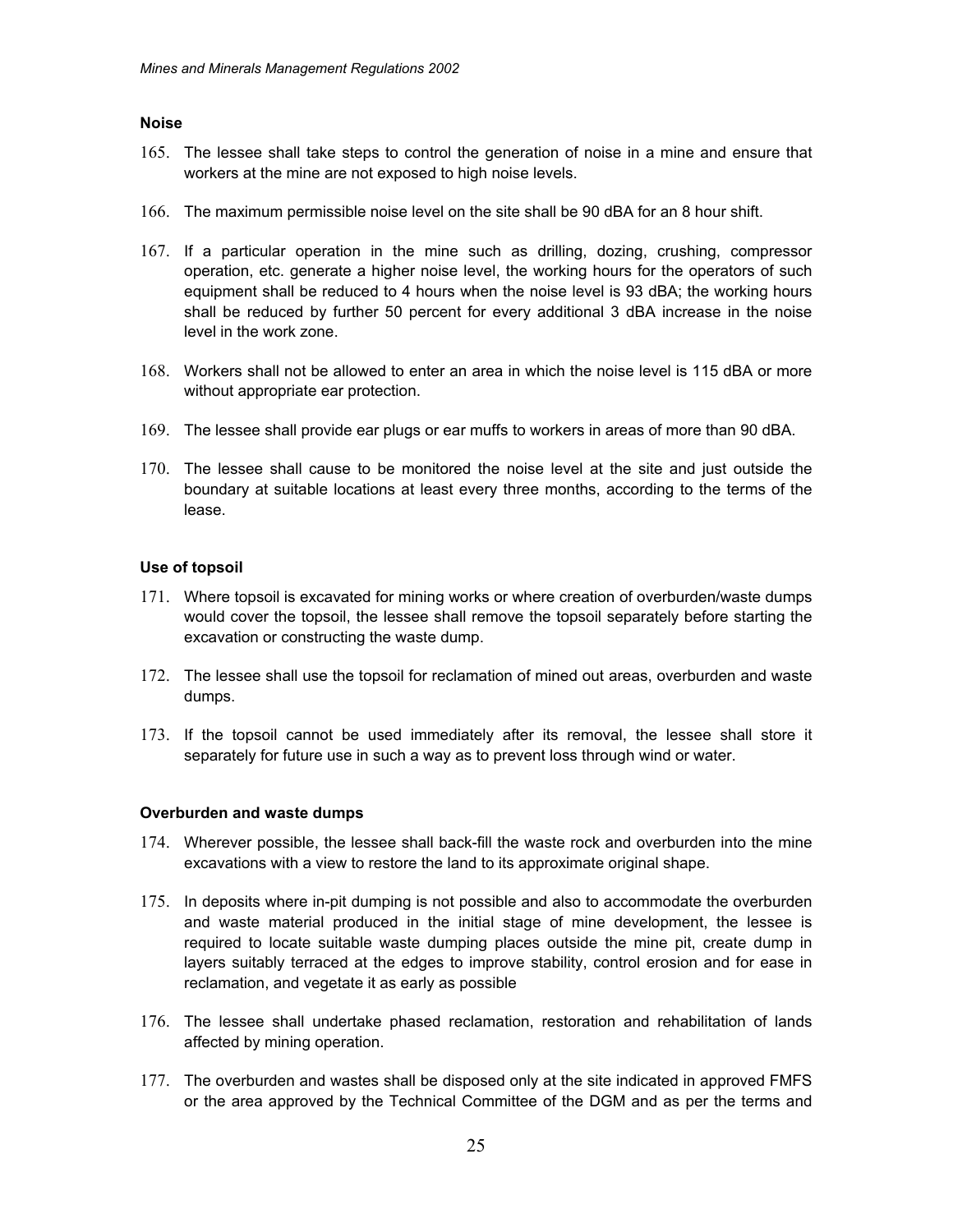#### **Noise**

- 165. The lessee shall take steps to control the generation of noise in a mine and ensure that workers at the mine are not exposed to high noise levels.
- 166. The maximum permissible noise level on the site shall be 90 dBA for an 8 hour shift.
- 167. If a particular operation in the mine such as drilling, dozing, crushing, compressor operation, etc. generate a higher noise level, the working hours for the operators of such equipment shall be reduced to 4 hours when the noise level is 93 dBA; the working hours shall be reduced by further 50 percent for every additional 3 dBA increase in the noise level in the work zone.
- 168. Workers shall not be allowed to enter an area in which the noise level is 115 dBA or more without appropriate ear protection.
- 169. The lessee shall provide ear plugs or ear muffs to workers in areas of more than 90 dBA.
- 170. The lessee shall cause to be monitored the noise level at the site and just outside the boundary at suitable locations at least every three months, according to the terms of the lease.

### **Use of topsoil**

- 171. Where topsoil is excavated for mining works or where creation of overburden/waste dumps would cover the topsoil, the lessee shall remove the topsoil separately before starting the excavation or constructing the waste dump.
- 172. The lessee shall use the topsoil for reclamation of mined out areas, overburden and waste dumps.
- 173. If the topsoil cannot be used immediately after its removal, the lessee shall store it separately for future use in such a way as to prevent loss through wind or water.

### **Overburden and waste dumps**

- 174. Wherever possible, the lessee shall back-fill the waste rock and overburden into the mine excavations with a view to restore the land to its approximate original shape.
- 175. In deposits where in-pit dumping is not possible and also to accommodate the overburden and waste material produced in the initial stage of mine development, the lessee is required to locate suitable waste dumping places outside the mine pit, create dump in layers suitably terraced at the edges to improve stability, control erosion and for ease in reclamation, and vegetate it as early as possible
- 176. The lessee shall undertake phased reclamation, restoration and rehabilitation of lands affected by mining operation.
- 177. The overburden and wastes shall be disposed only at the site indicated in approved FMFS or the area approved by the Technical Committee of the DGM and as per the terms and